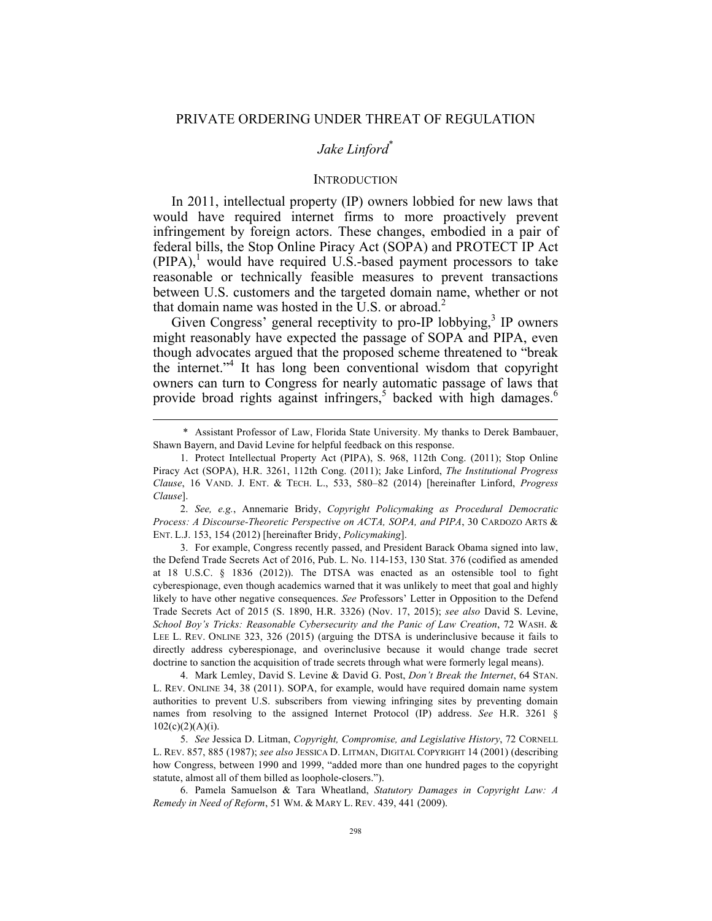## *Jake Linford*\*

### **INTRODUCTION**

In 2011, intellectual property (IP) owners lobbied for new laws that would have required internet firms to more proactively prevent infringement by foreign actors. These changes, embodied in a pair of federal bills, the Stop Online Piracy Act (SOPA) and PROTECT IP Act  $(PIPA)$ , would have required U.S.-based payment processors to take reasonable or technically feasible measures to prevent transactions between U.S. customers and the targeted domain name, whether or not that domain name was hosted in the U.S. or abroad.<sup>2</sup>

Given Congress' general receptivity to pro-IP lobbying, $3$  IP owners might reasonably have expected the passage of SOPA and PIPA, even though advocates argued that the proposed scheme threatened to "break the internet." <sup>4</sup> It has long been conventional wisdom that copyright owners can turn to Congress for nearly automatic passage of laws that provide broad rights against infringers,<sup>5</sup> backed with high damages.<sup>6</sup>

2. *See, e.g.*, Annemarie Bridy, *Copyright Policymaking as Procedural Democratic Process: A Discourse-Theoretic Perspective on ACTA, SOPA, and PIPA*, 30 CARDOZO ARTS & ENT. L.J. 153, 154 (2012) [hereinafter Bridy, *Policymaking*].

3. For example, Congress recently passed, and President Barack Obama signed into law, the Defend Trade Secrets Act of 2016, Pub. L. No. 114-153, 130 Stat. 376 (codified as amended at 18 U.S.C. § 1836 (2012)). The DTSA was enacted as an ostensible tool to fight cyberespionage, even though academics warned that it was unlikely to meet that goal and highly likely to have other negative consequences. *See* Professors' Letter in Opposition to the Defend Trade Secrets Act of 2015 (S. 1890, H.R. 3326) (Nov. 17, 2015); *see also* David S. Levine, *School Boy's Tricks: Reasonable Cybersecurity and the Panic of Law Creation*, 72 WASH. & LEE L. REV. ONLINE 323, 326 (2015) (arguing the DTSA is underinclusive because it fails to directly address cyberespionage, and overinclusive because it would change trade secret doctrine to sanction the acquisition of trade secrets through what were formerly legal means).

4. Mark Lemley, David S. Levine & David G. Post, *Don't Break the Internet*, 64 STAN. L. REV. ONLINE 34, 38 (2011). SOPA, for example, would have required domain name system authorities to prevent U.S. subscribers from viewing infringing sites by preventing domain names from resolving to the assigned Internet Protocol (IP) address. *See* H.R. 3261 §  $102(c)(2)(A)(i)$ .

5. *See* Jessica D. Litman, *Copyright, Compromise, and Legislative History*, 72 CORNELL L. REV. 857, 885 (1987); *see also* JESSICA D. LITMAN, DIGITAL COPYRIGHT 14 (2001) (describing how Congress, between 1990 and 1999, "added more than one hundred pages to the copyright statute, almost all of them billed as loophole-closers.").

6. Pamela Samuelson & Tara Wheatland, *Statutory Damages in Copyright Law: A Remedy in Need of Reform*, 51 WM. & MARY L. REV. 439, 441 (2009).

 <sup>\*</sup> Assistant Professor of Law, Florida State University. My thanks to Derek Bambauer, Shawn Bayern, and David Levine for helpful feedback on this response.

<sup>1.</sup> Protect Intellectual Property Act (PIPA), S. 968, 112th Cong. (2011); Stop Online Piracy Act (SOPA), H.R. 3261, 112th Cong. (2011); Jake Linford, *The Institutional Progress Clause*, 16 VAND. J. ENT. & TECH. L., 533, 580–82 (2014) [hereinafter Linford, *Progress Clause*].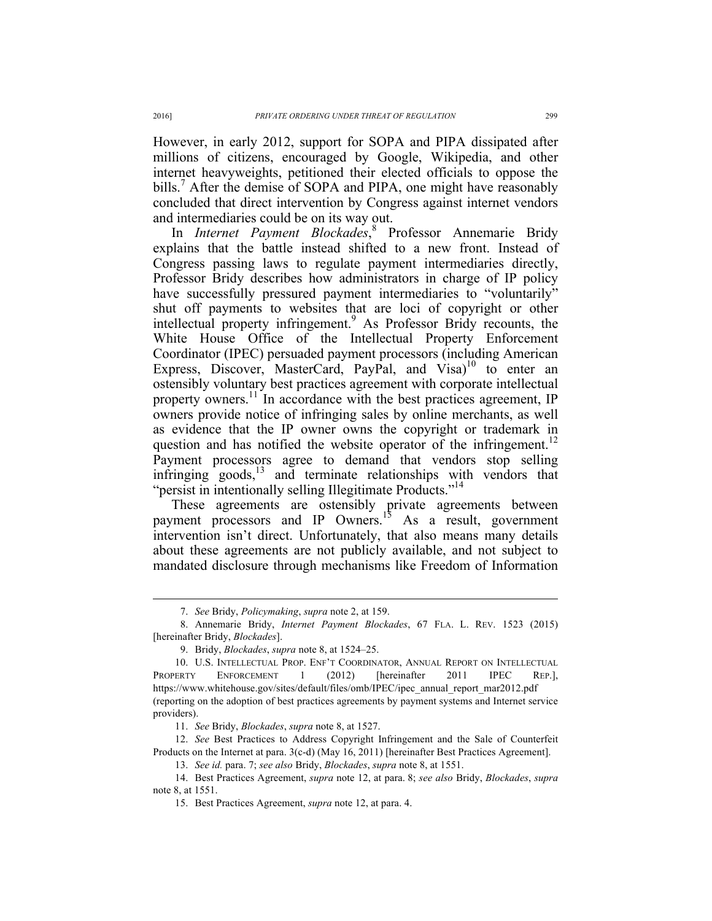However, in early 2012, support for SOPA and PIPA dissipated after millions of citizens, encouraged by Google, Wikipedia, and other internet heavyweights, petitioned their elected officials to oppose the bills.<sup>7</sup> After the demise of SOPA and PIPA, one might have reasonably concluded that direct intervention by Congress against internet vendors and intermediaries could be on its way out.

In *Internet Payment Blockades*, <sup>8</sup> Professor Annemarie Bridy explains that the battle instead shifted to a new front. Instead of Congress passing laws to regulate payment intermediaries directly, Professor Bridy describes how administrators in charge of IP policy have successfully pressured payment intermediaries to "voluntarily" shut off payments to websites that are loci of copyright or other intellectual property infringement.<sup>9</sup> As Professor Bridy recounts, the White House Office of the Intellectual Property Enforcement Coordinator (IPEC) persuaded payment processors (including American Express, Discover, MasterCard, PayPal, and Visa)<sup>10</sup> to enter an ostensibly voluntary best practices agreement with corporate intellectual property owners.<sup>11</sup> In accordance with the best practices agreement, IP owners provide notice of infringing sales by online merchants, as well as evidence that the IP owner owns the copyright or trademark in question and has notified the website operator of the infringement.<sup>12</sup> Payment processors agree to demand that vendors stop selling infringing goods,<sup>13</sup> and terminate relationships with vendors that "persist in intentionally selling Illegitimate Products."<sup>14</sup>

These agreements are ostensibly private agreements between payment processors and IP Owners.<sup>15</sup> As a result, government intervention isn't direct. Unfortunately, that also means many details about these agreements are not publicly available, and not subject to mandated disclosure through mechanisms like Freedom of Information

 <sup>7.</sup> *See* Bridy, *Policymaking*, *supra* note 2, at 159.

<sup>8.</sup> Annemarie Bridy, *Internet Payment Blockades*, 67 FLA. L. REV. 1523 (2015) [hereinafter Bridy, *Blockades*].

<sup>9.</sup> Bridy, *Blockades*, *supra* note 8, at 1524–25.

<sup>10.</sup> U.S. INTELLECTUAL PROP. ENF'T COORDINATOR, ANNUAL REPORT ON INTELLECTUAL PROPERTY ENFORCEMENT 1 (2012) [hereinafter 2011 IPEC REP.], https://www.whitehouse.gov/sites/default/files/omb/IPEC/ipec\_annual\_report\_mar2012.pdf (reporting on the adoption of best practices agreements by payment systems and Internet service providers).

<sup>11.</sup> *See* Bridy, *Blockades*, *supra* note 8, at 1527.

<sup>12.</sup> *See* Best Practices to Address Copyright Infringement and the Sale of Counterfeit Products on the Internet at para. 3(c-d) (May 16, 2011) [hereinafter Best Practices Agreement].

<sup>13.</sup> *See id.* para. 7; *see also* Bridy, *Blockades*, *supra* note 8, at 1551.

<sup>14.</sup> Best Practices Agreement, *supra* note 12, at para. 8; *see also* Bridy, *Blockades*, *supra*  note 8, at 1551.

<sup>15.</sup> Best Practices Agreement, *supra* note 12, at para. 4.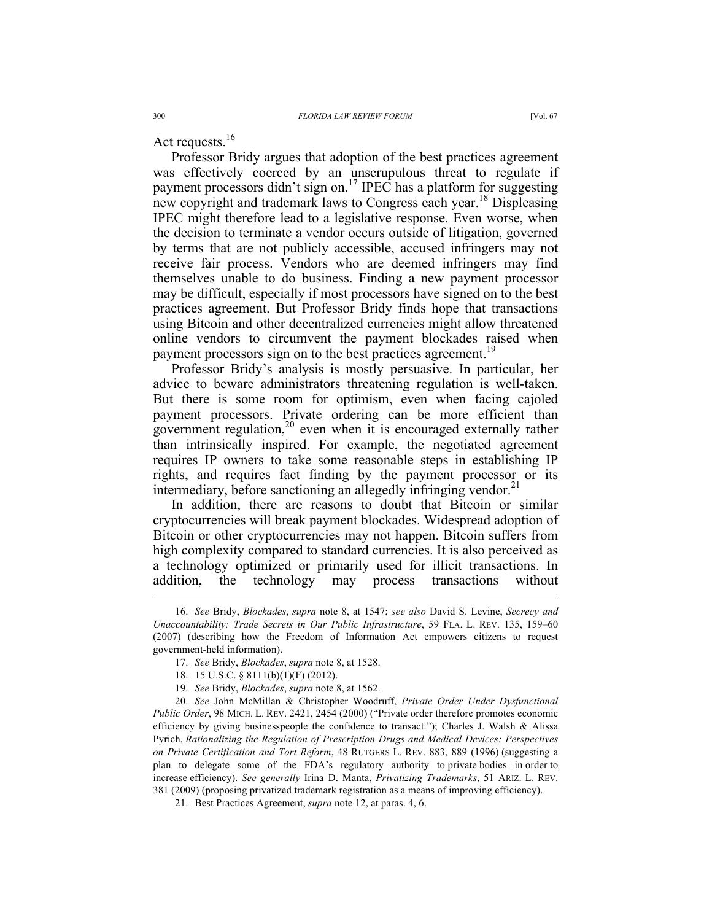Act requests.<sup>16</sup>

Professor Bridy argues that adoption of the best practices agreement was effectively coerced by an unscrupulous threat to regulate if payment processors didn't sign on.<sup>17</sup> IPEC has a platform for suggesting new copyright and trademark laws to Congress each year.<sup>18</sup> Displeasing IPEC might therefore lead to a legislative response. Even worse, when the decision to terminate a vendor occurs outside of litigation, governed by terms that are not publicly accessible, accused infringers may not receive fair process. Vendors who are deemed infringers may find themselves unable to do business. Finding a new payment processor may be difficult, especially if most processors have signed on to the best practices agreement. But Professor Bridy finds hope that transactions using Bitcoin and other decentralized currencies might allow threatened online vendors to circumvent the payment blockades raised when payment processors sign on to the best practices agreement.<sup>19</sup>

Professor Bridy's analysis is mostly persuasive. In particular, her advice to beware administrators threatening regulation is well-taken. But there is some room for optimism, even when facing cajoled payment processors. Private ordering can be more efficient than government regulation,<sup>20</sup> even when it is encouraged externally rather than intrinsically inspired. For example, the negotiated agreement requires IP owners to take some reasonable steps in establishing IP rights, and requires fact finding by the payment processor or its intermediary, before sanctioning an allegedly infringing vendor.<sup>21</sup>

In addition, there are reasons to doubt that Bitcoin or similar cryptocurrencies will break payment blockades. Widespread adoption of Bitcoin or other cryptocurrencies may not happen. Bitcoin suffers from high complexity compared to standard currencies. It is also perceived as a technology optimized or primarily used for illicit transactions. In addition, the technology may process transactions without

19. *See* Bridy, *Blockades*, *supra* note 8, at 1562.

20. *See* John McMillan & Christopher Woodruff, *Private Order Under Dysfunctional Public Order*, 98 MICH. L. REV. 2421, 2454 (2000) ("Private order therefore promotes economic efficiency by giving businesspeople the confidence to transact."); Charles J. Walsh & Alissa Pyrich, *Rationalizing the Regulation of Prescription Drugs and Medical Devices: Perspectives on Private Certification and Tort Reform*, 48 RUTGERS L. REV. 883, 889 (1996) (suggesting a plan to delegate some of the FDA's regulatory authority to private bodies in order to increase efficiency). *See generally* Irina D. Manta, *Privatizing Trademarks*, 51 ARIZ. L. REV. 381 (2009) (proposing privatized trademark registration as a means of improving efficiency).

21. Best Practices Agreement, *supra* note 12, at paras. 4, 6.

 <sup>16.</sup> *See* Bridy, *Blockades*, *supra* note 8, at 1547; *see also* David S. Levine, *Secrecy and Unaccountability: Trade Secrets in Our Public Infrastructure*, 59 FLA. L. REV. 135, 159–60 (2007) (describing how the Freedom of Information Act empowers citizens to request government-held information).

<sup>17.</sup> *See* Bridy, *Blockades*, *supra* note 8, at 1528.

<sup>18.</sup> 15 U.S.C. § 8111(b)(1)(F) (2012).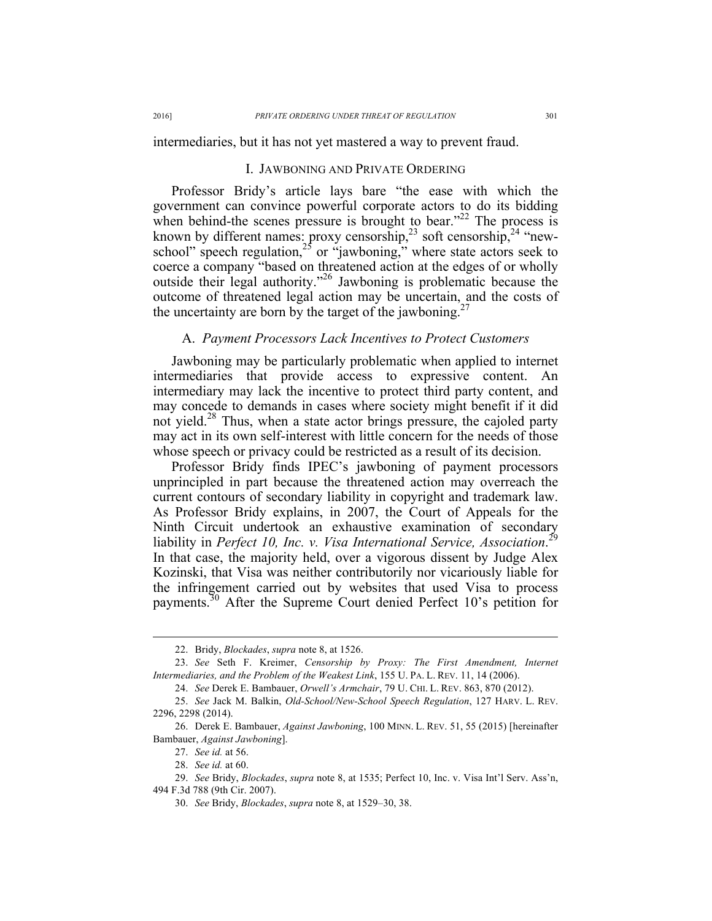intermediaries, but it has not yet mastered a way to prevent fraud.

#### I. JAWBONING AND PRIVATE ORDERING

Professor Bridy's article lays bare "the ease with which the government can convince powerful corporate actors to do its bidding when behind-the scenes pressure is brought to bear."<sup>22</sup> The process is known by different names: proxy censorship,<sup>23</sup> soft censorship,<sup>24</sup> "newschool" speech regulation,<sup>25</sup> or "jawboning," where state actors seek to coerce a company "based on threatened action at the edges of or wholly outside their legal authority." <sup>26</sup> Jawboning is problematic because the outcome of threatened legal action may be uncertain, and the costs of the uncertainty are born by the target of the jawboning.<sup>27</sup>

# A. *Payment Processors Lack Incentives to Protect Customers*

Jawboning may be particularly problematic when applied to internet intermediaries that provide access to expressive content. An intermediary may lack the incentive to protect third party content, and may concede to demands in cases where society might benefit if it did not yield.<sup>28</sup> Thus, when a state actor brings pressure, the cajoled party may act in its own self-interest with little concern for the needs of those whose speech or privacy could be restricted as a result of its decision.

Professor Bridy finds IPEC's jawboning of payment processors unprincipled in part because the threatened action may overreach the current contours of secondary liability in copyright and trademark law. As Professor Bridy explains, in 2007, the Court of Appeals for the Ninth Circuit undertook an exhaustive examination of secondary liability in *Perfect 10, Inc. v. Visa International Service, Association*. 29 In that case, the majority held, over a vigorous dissent by Judge Alex Kozinski, that Visa was neither contributorily nor vicariously liable for the infringement carried out by websites that used Visa to process payments.30 After the Supreme Court denied Perfect 10's petition for

 <sup>22.</sup> Bridy, *Blockades*, *supra* note 8, at 1526.

<sup>23.</sup> *See* Seth F. Kreimer, *Censorship by Proxy: The First Amendment, Internet Intermediaries, and the Problem of the Weakest Link*, 155 U. PA. L. REV. 11, 14 (2006).

<sup>24.</sup> *See* Derek E. Bambauer, *Orwell's Armchair*, 79 U. CHI. L. REV. 863, 870 (2012).

<sup>25.</sup> *See* Jack M. Balkin, *Old-School/New-School Speech Regulation*, 127 HARV. L. REV. 2296, 2298 (2014).

<sup>26.</sup> Derek E. Bambauer, *Against Jawboning*, 100 MINN. L. REV. 51, 55 (2015) [hereinafter Bambauer, *Against Jawboning*].

<sup>27.</sup> *See id.* at 56.

<sup>28.</sup> *See id.* at 60.

<sup>29.</sup> *See* Bridy, *Blockades*, *supra* note 8, at 1535; Perfect 10, Inc. v. Visa Int'l Serv. Ass'n, 494 F.3d 788 (9th Cir. 2007).

<sup>30.</sup> *See* Bridy, *Blockades*, *supra* note 8, at 1529–30, 38.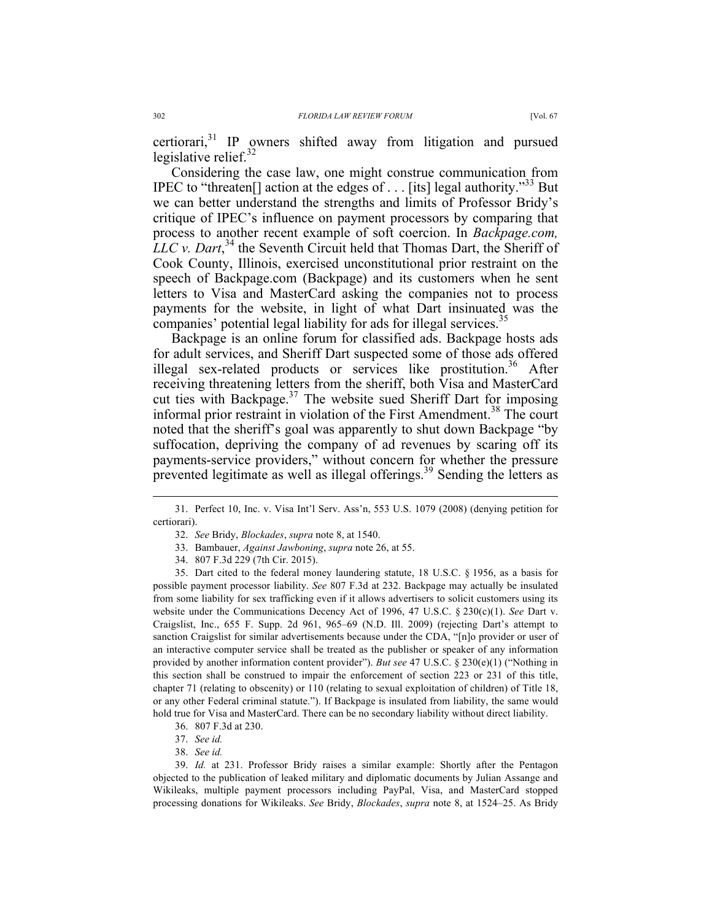Considering the case law, one might construe communication from IPEC to "threaten<sup>[]</sup> action at the edges of . . . [its] legal authority.<sup>33</sup> But we can better understand the strengths and limits of Professor Bridy's critique of IPEC's influence on payment processors by comparing that process to another recent example of soft coercion. In *Backpage.com, LLC v. Dart*, <sup>34</sup> the Seventh Circuit held that Thomas Dart, the Sheriff of Cook County, Illinois, exercised unconstitutional prior restraint on the speech of Backpage.com (Backpage) and its customers when he sent letters to Visa and MasterCard asking the companies not to process payments for the website, in light of what Dart insinuated was the companies' potential legal liability for ads for illegal services.<sup>35</sup>

Backpage is an online forum for classified ads. Backpage hosts ads for adult services, and Sheriff Dart suspected some of those ads offered illegal sex-related products or services like prostitution.<sup>36</sup> After receiving threatening letters from the sheriff, both Visa and MasterCard cut ties with Backpage.<sup>37</sup> The website sued Sheriff Dart for imposing informal prior restraint in violation of the First Amendment. <sup>38</sup> The court noted that the sheriff's goal was apparently to shut down Backpage "by suffocation, depriving the company of ad revenues by scaring off its payments-service providers," without concern for whether the pressure prevented legitimate as well as illegal offerings.<sup>39</sup> Sending the letters as

 <sup>31.</sup> Perfect 10, Inc. v. Visa Int'l Serv. Ass'n, 553 U.S. 1079 (2008) (denying petition for certiorari).

<sup>32.</sup> *See* Bridy, *Blockades*, *supra* note 8, at 1540.

<sup>33.</sup> Bambauer, *Against Jawboning*, *supra* note 26, at 55.

<sup>34.</sup> 807 F.3d 229 (7th Cir. 2015).

<sup>35.</sup> Dart cited to the federal money laundering statute, 18 U.S.C. § 1956, as a basis for possible payment processor liability. *See* 807 F.3d at 232. Backpage may actually be insulated from some liability for sex trafficking even if it allows advertisers to solicit customers using its website under the Communications Decency Act of 1996, 47 U.S.C. § 230(c)(1). *See* Dart v. Craigslist, Inc., 655 F. Supp. 2d 961, 965–69 (N.D. Ill. 2009) (rejecting Dart's attempt to sanction Craigslist for similar advertisements because under the CDA, "[n]o provider or user of an interactive computer service shall be treated as the publisher or speaker of any information provided by another information content provider"). *But see* 47 U.S.C. § 230(e)(1) ("Nothing in this section shall be construed to impair the enforcement of section 223 or 231 of this title, chapter 71 (relating to obscenity) or 110 (relating to sexual exploitation of children) of Title 18, or any other Federal criminal statute."). If Backpage is insulated from liability, the same would hold true for Visa and MasterCard. There can be no secondary liability without direct liability.

<sup>36.</sup> 807 F.3d at 230.

<sup>37.</sup> *See id.*

<sup>38.</sup> *See id.*

<sup>39.</sup> *Id.* at 231. Professor Bridy raises a similar example: Shortly after the Pentagon objected to the publication of leaked military and diplomatic documents by Julian Assange and Wikileaks, multiple payment processors including PayPal, Visa, and MasterCard stopped processing donations for Wikileaks. *See* Bridy, *Blockades*, *supra* note 8, at 1524–25. As Bridy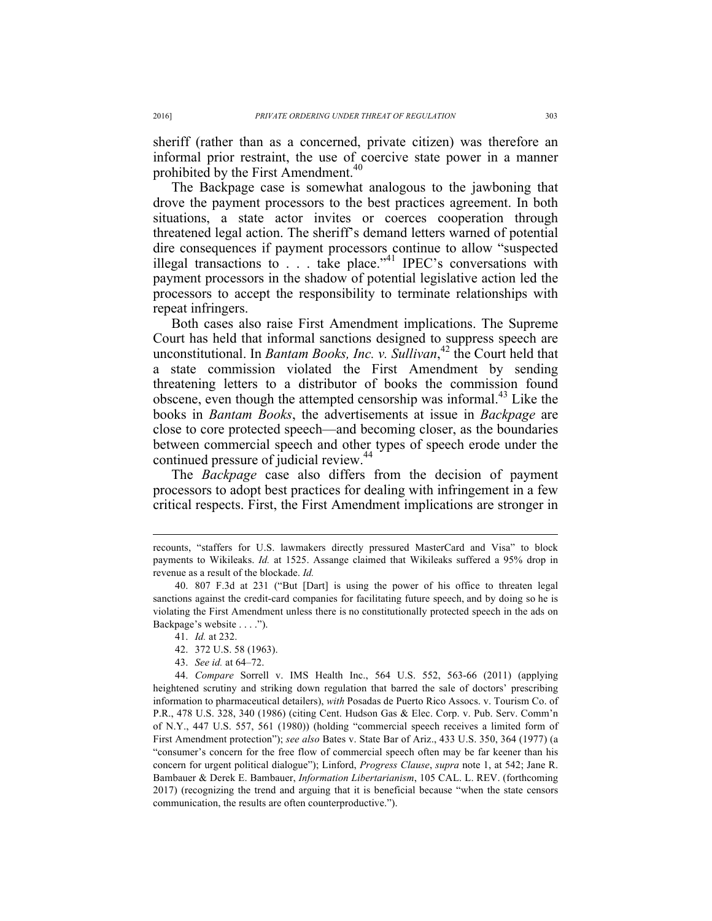sheriff (rather than as a concerned, private citizen) was therefore an informal prior restraint, the use of coercive state power in a manner prohibited by the First Amendment.<sup>40</sup>

The Backpage case is somewhat analogous to the jawboning that drove the payment processors to the best practices agreement. In both situations, a state actor invites or coerces cooperation through threatened legal action. The sheriff's demand letters warned of potential dire consequences if payment processors continue to allow "suspected illegal transactions to . . . take place."<sup>41</sup> IPEC's conversations with payment processors in the shadow of potential legislative action led the processors to accept the responsibility to terminate relationships with repeat infringers.

Both cases also raise First Amendment implications. The Supreme Court has held that informal sanctions designed to suppress speech are unconstitutional. In *Bantam Books, Inc. v. Sullivan*, <sup>42</sup> the Court held that a state commission violated the First Amendment by sending threatening letters to a distributor of books the commission found obscene, even though the attempted censorship was informal.<sup>43</sup> Like the books in *Bantam Books*, the advertisements at issue in *Backpage* are close to core protected speech—and becoming closer, as the boundaries between commercial speech and other types of speech erode under the continued pressure of judicial review.<sup>44</sup>

The *Backpage* case also differs from the decision of payment processors to adopt best practices for dealing with infringement in a few critical respects. First, the First Amendment implications are stronger in

43. *See id.* at 64–72.

recounts, "staffers for U.S. lawmakers directly pressured MasterCard and Visa" to block payments to Wikileaks. *Id.* at 1525. Assange claimed that Wikileaks suffered a 95% drop in revenue as a result of the blockade. *Id.*

<sup>40.</sup> 807 F.3d at 231 ("But [Dart] is using the power of his office to threaten legal sanctions against the credit-card companies for facilitating future speech, and by doing so he is violating the First Amendment unless there is no constitutionally protected speech in the ads on Backpage's website . . . .").

<sup>41.</sup> *Id.* at 232.

<sup>42.</sup> 372 U.S. 58 (1963).

<sup>44.</sup> *Compare* Sorrell v. IMS Health Inc., 564 U.S. 552, 563-66 (2011) (applying heightened scrutiny and striking down regulation that barred the sale of doctors' prescribing information to pharmaceutical detailers), *with* Posadas de Puerto Rico Assocs. v. Tourism Co. of P.R., 478 U.S. 328, 340 (1986) (citing Cent. Hudson Gas & Elec. Corp. v. Pub. Serv. Comm'n of N.Y., 447 U.S. 557, 561 (1980)) (holding "commercial speech receives a limited form of First Amendment protection"); *see also* Bates v. State Bar of Ariz., 433 U.S. 350, 364 (1977) (a "consumer's concern for the free flow of commercial speech often may be far keener than his concern for urgent political dialogue"); Linford, *Progress Clause*, *supra* note 1, at 542; Jane R. Bambauer & Derek E. Bambauer, *Information Libertarianism*, 105 CAL. L. REV. (forthcoming 2017) (recognizing the trend and arguing that it is beneficial because "when the state censors communication, the results are often counterproductive.").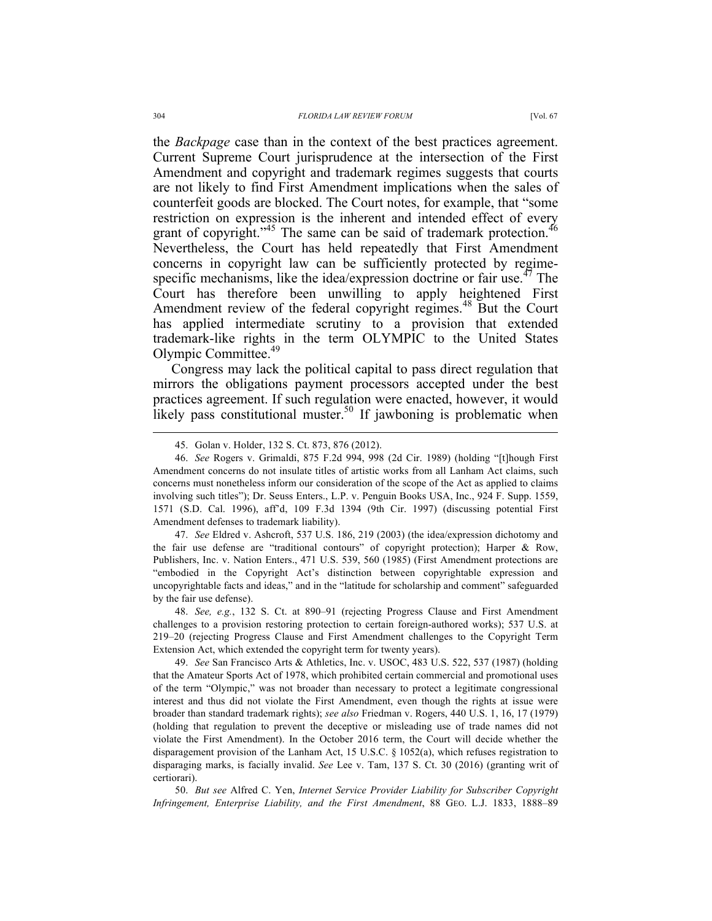the *Backpage* case than in the context of the best practices agreement. Current Supreme Court jurisprudence at the intersection of the First Amendment and copyright and trademark regimes suggests that courts are not likely to find First Amendment implications when the sales of counterfeit goods are blocked. The Court notes, for example, that "some restriction on expression is the inherent and intended effect of every grant of copyright."<sup>45</sup> The same can be said of trademark protection.<sup>46</sup> Nevertheless, the Court has held repeatedly that First Amendment concerns in copyright law can be sufficiently protected by regimespecific mechanisms, like the idea/expression doctrine or fair use.<sup> $47$ </sup> The Court has therefore been unwilling to apply heightened First Amendment review of the federal copyright regimes.<sup>48</sup> But the Court has applied intermediate scrutiny to a provision that extended trademark-like rights in the term OLYMPIC to the United States Olympic Committee.49

Congress may lack the political capital to pass direct regulation that mirrors the obligations payment processors accepted under the best practices agreement. If such regulation were enacted, however, it would likely pass constitutional muster.<sup>50</sup> If jawboning is problematic when

47. *See* Eldred v. Ashcroft, 537 U.S. 186, 219 (2003) (the idea/expression dichotomy and the fair use defense are "traditional contours" of copyright protection); Harper & Row, Publishers, Inc. v. Nation Enters., 471 U.S. 539, 560 (1985) (First Amendment protections are "embodied in the Copyright Act's distinction between copyrightable expression and uncopyrightable facts and ideas," and in the "latitude for scholarship and comment" safeguarded by the fair use defense).

48. *See, e.g.*, 132 S. Ct. at 890–91 (rejecting Progress Clause and First Amendment challenges to a provision restoring protection to certain foreign-authored works); 537 U.S. at 219–20 (rejecting Progress Clause and First Amendment challenges to the Copyright Term Extension Act, which extended the copyright term for twenty years).

49. *See* San Francisco Arts & Athletics, Inc. v. USOC, 483 U.S. 522, 537 (1987) (holding that the Amateur Sports Act of 1978, which prohibited certain commercial and promotional uses of the term "Olympic," was not broader than necessary to protect a legitimate congressional interest and thus did not violate the First Amendment, even though the rights at issue were broader than standard trademark rights); *see also* Friedman v. Rogers, 440 U.S. 1, 16, 17 (1979) (holding that regulation to prevent the deceptive or misleading use of trade names did not violate the First Amendment). In the October 2016 term, the Court will decide whether the disparagement provision of the Lanham Act, 15 U.S.C. § 1052(a), which refuses registration to disparaging marks, is facially invalid. *See* Lee v. Tam, 137 S. Ct. 30 (2016) (granting writ of certiorari).

50. *But see* Alfred C. Yen, *Internet Service Provider Liability for Subscriber Copyright Infringement, Enterprise Liability, and the First Amendment*, 88 GEO. L.J. 1833, 1888–89

 <sup>45.</sup> Golan v. Holder, 132 S. Ct. 873, 876 (2012).

<sup>46.</sup> *See* Rogers v. Grimaldi, 875 F.2d 994, 998 (2d Cir. 1989) (holding "[t]hough First Amendment concerns do not insulate titles of artistic works from all Lanham Act claims, such concerns must nonetheless inform our consideration of the scope of the Act as applied to claims involving such titles"); Dr. Seuss Enters., L.P. v. Penguin Books USA, Inc., 924 F. Supp. 1559, 1571 (S.D. Cal. 1996), aff'd, 109 F.3d 1394 (9th Cir. 1997) (discussing potential First Amendment defenses to trademark liability).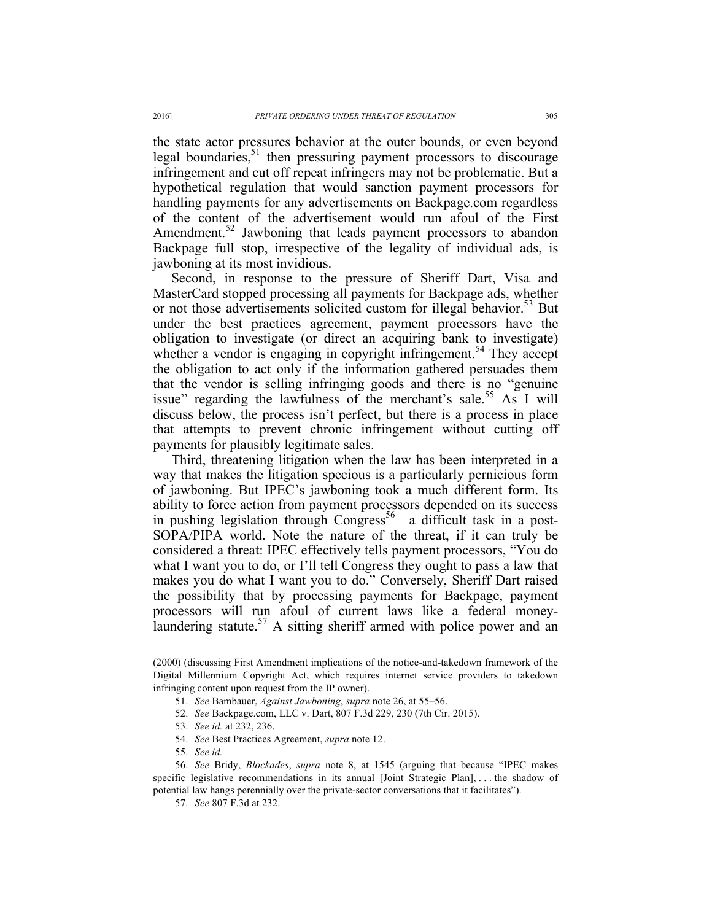the state actor pressures behavior at the outer bounds, or even beyond legal boundaries,<sup>51</sup> then pressuring payment processors to discourage infringement and cut off repeat infringers may not be problematic. But a hypothetical regulation that would sanction payment processors for handling payments for any advertisements on Backpage.com regardless of the content of the advertisement would run afoul of the First Amendment.<sup>52</sup> Jawboning that leads payment processors to abandon Backpage full stop, irrespective of the legality of individual ads, is jawboning at its most invidious.

Second, in response to the pressure of Sheriff Dart, Visa and MasterCard stopped processing all payments for Backpage ads, whether or not those advertisements solicited custom for illegal behavior.<sup>53</sup> But under the best practices agreement, payment processors have the obligation to investigate (or direct an acquiring bank to investigate) whether a vendor is engaging in copyright infringement.<sup>54</sup> They accept the obligation to act only if the information gathered persuades them that the vendor is selling infringing goods and there is no "genuine issue" regarding the lawfulness of the merchant's sale.<sup>55</sup> As I will discuss below, the process isn't perfect, but there is a process in place that attempts to prevent chronic infringement without cutting off payments for plausibly legitimate sales.

Third, threatening litigation when the law has been interpreted in a way that makes the litigation specious is a particularly pernicious form of jawboning. But IPEC's jawboning took a much different form. Its ability to force action from payment processors depended on its success in pushing legislation through  $Congress<sup>56</sup>$ —a difficult task in a post-SOPA/PIPA world. Note the nature of the threat, if it can truly be considered a threat: IPEC effectively tells payment processors, "You do what I want you to do, or I'll tell Congress they ought to pass a law that makes you do what I want you to do." Conversely, Sheriff Dart raised the possibility that by processing payments for Backpage, payment processors will run afoul of current laws like a federal moneylaundering statute.<sup>57</sup> A sitting sheriff armed with police power and an

 <sup>(2000) (</sup>discussing First Amendment implications of the notice-and-takedown framework of the Digital Millennium Copyright Act, which requires internet service providers to takedown infringing content upon request from the IP owner).

<sup>51.</sup> *See* Bambauer, *Against Jawboning*, *supra* note 26, at 55–56.

<sup>52.</sup> *See* Backpage.com, LLC v. Dart, 807 F.3d 229, 230 (7th Cir. 2015).

<sup>53.</sup> *See id.* at 232, 236.

<sup>54.</sup> *See* Best Practices Agreement, *supra* note 12.

<sup>55.</sup> *See id.*

<sup>56.</sup> *See* Bridy, *Blockades*, *supra* note 8, at 1545 (arguing that because "IPEC makes specific legislative recommendations in its annual [Joint Strategic Plan], . . . the shadow of potential law hangs perennially over the private-sector conversations that it facilitates").

<sup>57.</sup> *See* 807 F.3d at 232.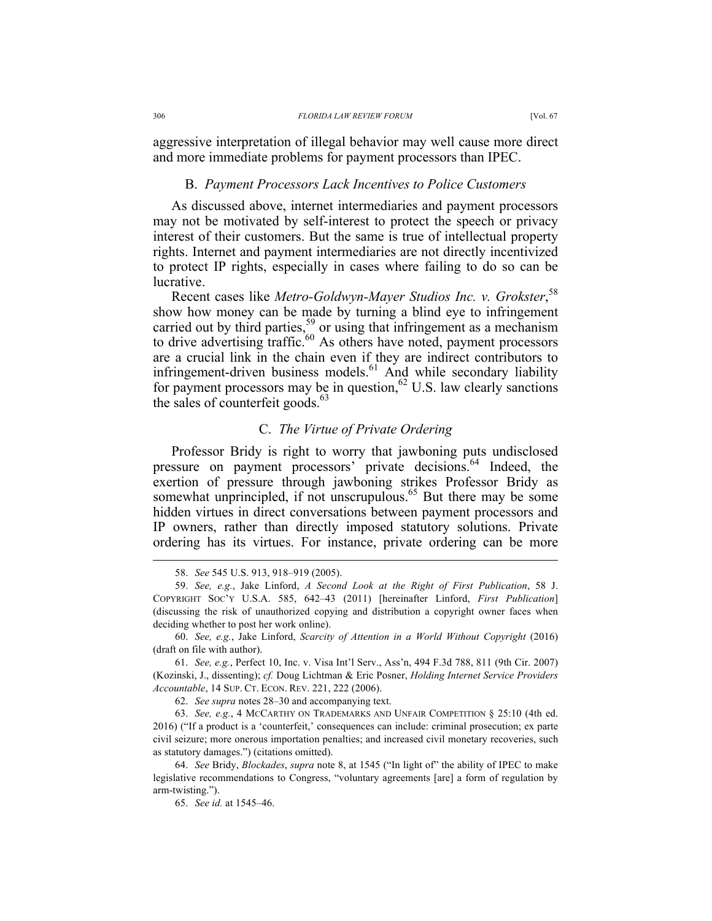aggressive interpretation of illegal behavior may well cause more direct and more immediate problems for payment processors than IPEC.

### B. *Payment Processors Lack Incentives to Police Customers*

As discussed above, internet intermediaries and payment processors may not be motivated by self-interest to protect the speech or privacy interest of their customers. But the same is true of intellectual property rights. Internet and payment intermediaries are not directly incentivized to protect IP rights, especially in cases where failing to do so can be lucrative.

Recent cases like *Metro-Goldwyn-Mayer Studios Inc. v. Grokster*, 58 show how money can be made by turning a blind eye to infringement carried out by third parties,  $59$  or using that infringement as a mechanism to drive advertising traffic.<sup>60</sup> As others have noted, payment processors are a crucial link in the chain even if they are indirect contributors to infringement-driven business models.<sup>61</sup> And while secondary liability for payment processors may be in question,<sup>62</sup> U.S. law clearly sanctions the sales of counterfeit goods. $63$ 

# C. *The Virtue of Private Ordering*

Professor Bridy is right to worry that jawboning puts undisclosed pressure on payment processors' private decisions.<sup>64</sup> Indeed, the exertion of pressure through jawboning strikes Professor Bridy as somewhat unprincipled, if not unscrupulous.<sup>65</sup> But there may be some hidden virtues in direct conversations between payment processors and IP owners, rather than directly imposed statutory solutions. Private ordering has its virtues. For instance, private ordering can be more

62. *See supra* notes 28–30 and accompanying text.

 <sup>58.</sup> *See* 545 U.S. 913, 918–919 (2005).

<sup>59.</sup> *See, e.g.*, Jake Linford, *A Second Look at the Right of First Publication*, 58 J. COPYRIGHT SOC'Y U.S.A. 585, 642–43 (2011) [hereinafter Linford, *First Publication*] (discussing the risk of unauthorized copying and distribution a copyright owner faces when deciding whether to post her work online).

<sup>60.</sup> *See, e.g.*, Jake Linford, *Scarcity of Attention in a World Without Copyright* (2016) (draft on file with author).

<sup>61.</sup> *See, e.g.*, Perfect 10, Inc. v. Visa Int'l Serv., Ass'n, 494 F.3d 788, 811 (9th Cir. 2007) (Kozinski, J., dissenting); *cf.* Doug Lichtman & Eric Posner, *Holding Internet Service Providers Accountable*, 14 SUP. CT. ECON. REV. 221, 222 (2006).

<sup>63.</sup> *See, e.g.*, 4 MCCARTHY ON TRADEMARKS AND UNFAIR COMPETITION § 25:10 (4th ed. 2016) ("If a product is a 'counterfeit,' consequences can include: criminal prosecution; ex parte civil seizure; more onerous importation penalties; and increased civil monetary recoveries, such as statutory damages.") (citations omitted).

<sup>64.</sup> *See* Bridy, *Blockades*, *supra* note 8, at 1545 ("In light of" the ability of IPEC to make legislative recommendations to Congress, "voluntary agreements [are] a form of regulation by arm-twisting.").

<sup>65.</sup> *See id.* at 1545–46.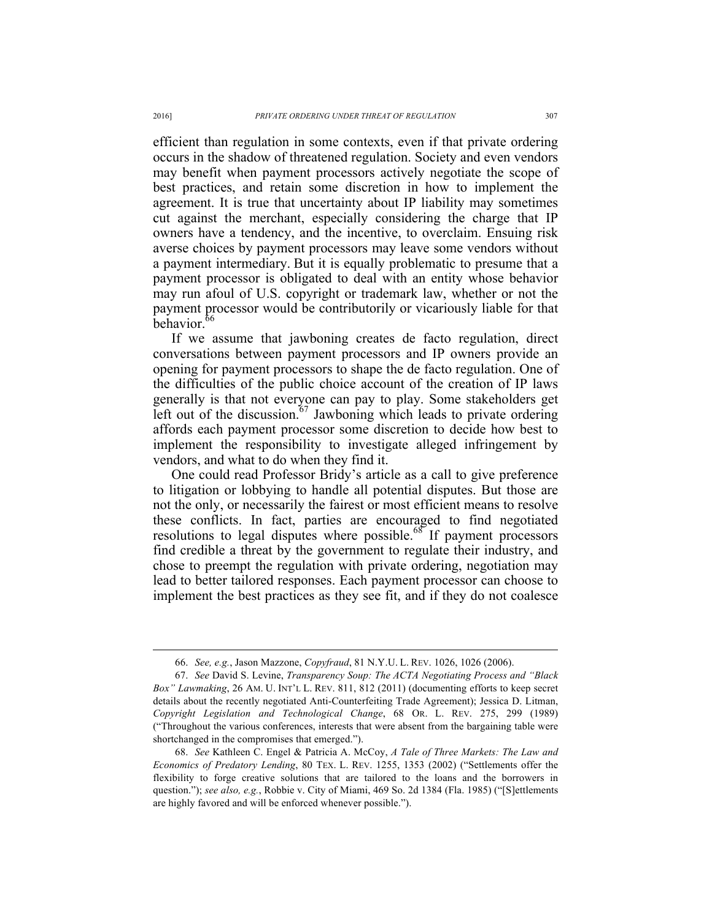efficient than regulation in some contexts, even if that private ordering occurs in the shadow of threatened regulation. Society and even vendors may benefit when payment processors actively negotiate the scope of best practices, and retain some discretion in how to implement the agreement. It is true that uncertainty about IP liability may sometimes cut against the merchant, especially considering the charge that IP owners have a tendency, and the incentive, to overclaim. Ensuing risk averse choices by payment processors may leave some vendors without a payment intermediary. But it is equally problematic to presume that a payment processor is obligated to deal with an entity whose behavior may run afoul of U.S. copyright or trademark law, whether or not the payment processor would be contributorily or vicariously liable for that behavior.<sup>66</sup>

If we assume that jawboning creates de facto regulation, direct conversations between payment processors and IP owners provide an opening for payment processors to shape the de facto regulation. One of the difficulties of the public choice account of the creation of IP laws generally is that not everyone can pay to play. Some stakeholders get left out of the discussion.<sup>67</sup> Jawboning which leads to private ordering affords each payment processor some discretion to decide how best to implement the responsibility to investigate alleged infringement by vendors, and what to do when they find it.

One could read Professor Bridy's article as a call to give preference to litigation or lobbying to handle all potential disputes. But those are not the only, or necessarily the fairest or most efficient means to resolve these conflicts. In fact, parties are encouraged to find negotiated resolutions to legal disputes where possible.<sup>68</sup> If payment processors find credible a threat by the government to regulate their industry, and chose to preempt the regulation with private ordering, negotiation may lead to better tailored responses. Each payment processor can choose to implement the best practices as they see fit, and if they do not coalesce

 <sup>66.</sup> *See, e.g.*, Jason Mazzone, *Copyfraud*, 81 N.Y.U. L. REV. 1026, 1026 (2006).

<sup>67.</sup> *See* David S. Levine, *Transparency Soup: The ACTA Negotiating Process and "Black Box" Lawmaking*, 26 AM. U. INT'L L. REV. 811, 812 (2011) (documenting efforts to keep secret details about the recently negotiated Anti-Counterfeiting Trade Agreement); Jessica D. Litman, *Copyright Legislation and Technological Change*, 68 OR. L. REV. 275, 299 (1989) ("Throughout the various conferences, interests that were absent from the bargaining table were shortchanged in the compromises that emerged.").

<sup>68.</sup> *See* Kathleen C. Engel & Patricia A. McCoy, *A Tale of Three Markets: The Law and Economics of Predatory Lending*, 80 TEX. L. REV. 1255, 1353 (2002) ("Settlements offer the flexibility to forge creative solutions that are tailored to the loans and the borrowers in question."); *see also, e.g.*, Robbie v. City of Miami, 469 So. 2d 1384 (Fla. 1985) ("[S]ettlements are highly favored and will be enforced whenever possible.").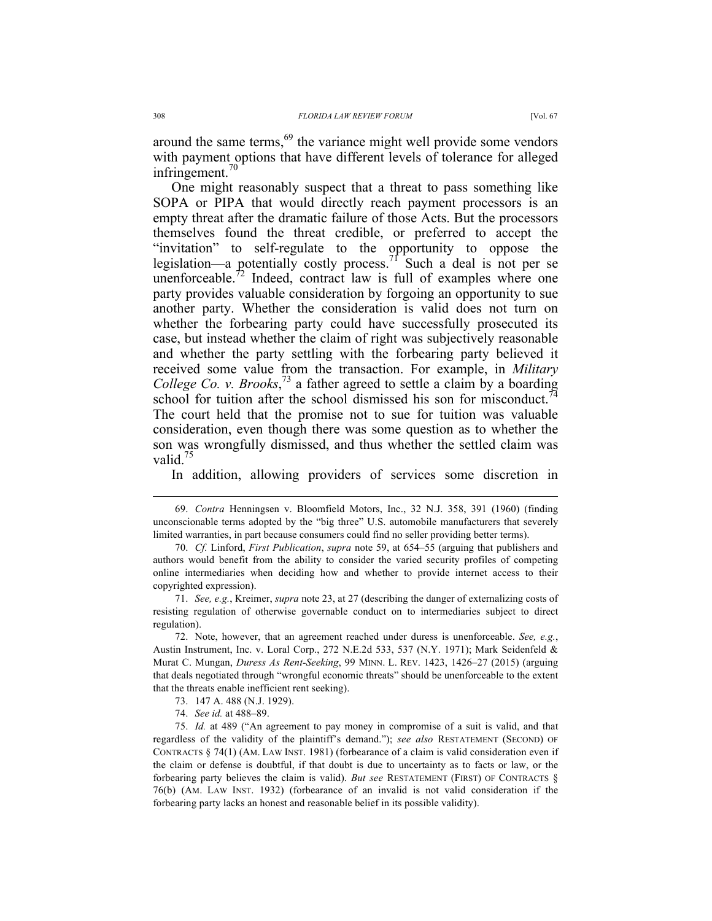around the same terms,<sup>69</sup> the variance might well provide some vendors with payment options that have different levels of tolerance for alleged infringement.<sup>70</sup>

One might reasonably suspect that a threat to pass something like SOPA or PIPA that would directly reach payment processors is an empty threat after the dramatic failure of those Acts. But the processors themselves found the threat credible, or preferred to accept the "invitation" to self-regulate to the opportunity to oppose the legislation—a potentially costly process.<sup>71</sup> Such a deal is not per se unenforceable.<sup>72</sup> Indeed, contract law is full of examples where one party provides valuable consideration by forgoing an opportunity to sue another party. Whether the consideration is valid does not turn on whether the forbearing party could have successfully prosecuted its case, but instead whether the claim of right was subjectively reasonable and whether the party settling with the forbearing party believed it received some value from the transaction. For example, in *Military College Co. v. Brooks*, <sup>73</sup> a father agreed to settle a claim by a boarding school for tuition after the school dismissed his son for misconduct.<sup>74</sup> The court held that the promise not to sue for tuition was valuable consideration, even though there was some question as to whether the son was wrongfully dismissed, and thus whether the settled claim was valid.<sup>75</sup>

In addition, allowing providers of services some discretion in

72. Note, however, that an agreement reached under duress is unenforceable. *See, e.g.*, Austin Instrument, Inc. v. Loral Corp., 272 N.E.2d 533, 537 (N.Y. 1971); Mark Seidenfeld & Murat C. Mungan, *Duress As Rent-Seeking*, 99 MINN. L. REV. 1423, 1426–27 (2015) (arguing that deals negotiated through "wrongful economic threats" should be unenforceable to the extent that the threats enable inefficient rent seeking).

 <sup>69.</sup> *Contra* Henningsen v. Bloomfield Motors, Inc., 32 N.J. 358, 391 (1960) (finding unconscionable terms adopted by the "big three" U.S. automobile manufacturers that severely limited warranties, in part because consumers could find no seller providing better terms).

<sup>70.</sup> *Cf.* Linford, *First Publication*, *supra* note 59, at 654–55 (arguing that publishers and authors would benefit from the ability to consider the varied security profiles of competing online intermediaries when deciding how and whether to provide internet access to their copyrighted expression).

<sup>71.</sup> *See, e.g.*, Kreimer, *supra* note 23, at 27 (describing the danger of externalizing costs of resisting regulation of otherwise governable conduct on to intermediaries subject to direct regulation).

<sup>73.</sup> 147 A. 488 (N.J. 1929).

<sup>74.</sup> *See id.* at 488–89.

<sup>75.</sup> *Id.* at 489 ("An agreement to pay money in compromise of a suit is valid, and that regardless of the validity of the plaintiff's demand."); *see also* RESTATEMENT (SECOND) OF CONTRACTS § 74(1) (AM. LAW INST. 1981) (forbearance of a claim is valid consideration even if the claim or defense is doubtful, if that doubt is due to uncertainty as to facts or law, or the forbearing party believes the claim is valid). *But see* RESTATEMENT (FIRST) OF CONTRACTS § 76(b) (AM. LAW INST. 1932) (forbearance of an invalid is not valid consideration if the forbearing party lacks an honest and reasonable belief in its possible validity).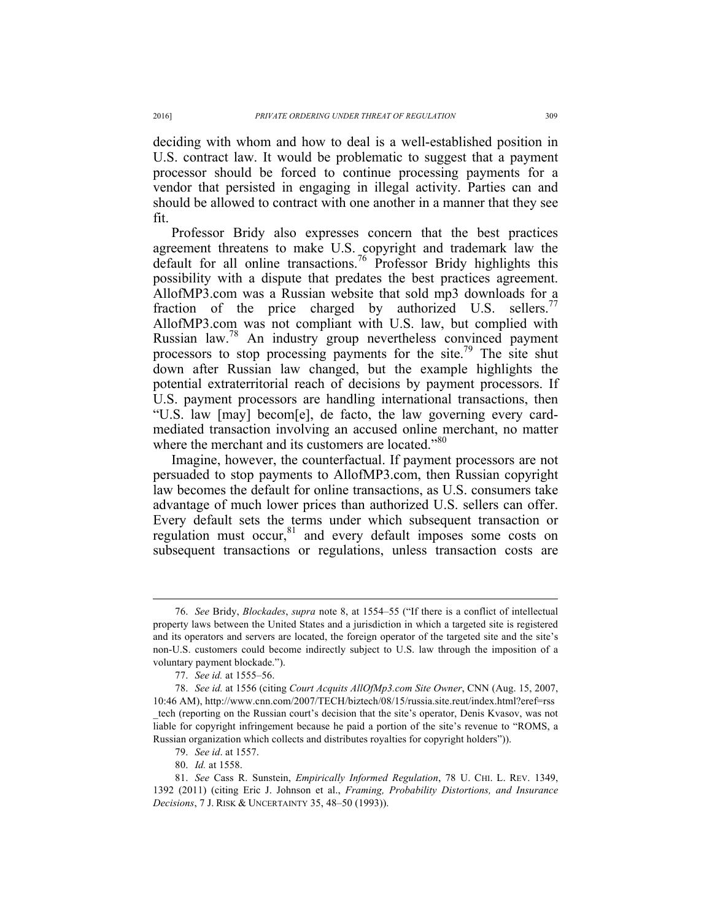deciding with whom and how to deal is a well-established position in U.S. contract law. It would be problematic to suggest that a payment processor should be forced to continue processing payments for a vendor that persisted in engaging in illegal activity. Parties can and should be allowed to contract with one another in a manner that they see fit.

Professor Bridy also expresses concern that the best practices agreement threatens to make U.S. copyright and trademark law the default for all online transactions.76 Professor Bridy highlights this possibility with a dispute that predates the best practices agreement. AllofMP3.com was a Russian website that sold mp3 downloads for a fraction of the price charged by authorized U.S. sellers.<sup>77</sup> AllofMP3.com was not compliant with U.S. law, but complied with Russian law.<sup>78</sup> An industry group nevertheless convinced payment processors to stop processing payments for the site.<sup>79</sup> The site shut down after Russian law changed, but the example highlights the potential extraterritorial reach of decisions by payment processors. If U.S. payment processors are handling international transactions, then "U.S. law [may] becom[e], de facto, the law governing every cardmediated transaction involving an accused online merchant, no matter where the merchant and its customers are located."<sup>80</sup>

Imagine, however, the counterfactual. If payment processors are not persuaded to stop payments to AllofMP3.com, then Russian copyright law becomes the default for online transactions, as U.S. consumers take advantage of much lower prices than authorized U.S. sellers can offer. Every default sets the terms under which subsequent transaction or regulation must occur,<sup>81</sup> and every default imposes some costs on subsequent transactions or regulations, unless transaction costs are

 <sup>76.</sup> *See* Bridy, *Blockades*, *supra* note 8, at 1554–55 ("If there is a conflict of intellectual property laws between the United States and a jurisdiction in which a targeted site is registered and its operators and servers are located, the foreign operator of the targeted site and the site's non-U.S. customers could become indirectly subject to U.S. law through the imposition of a voluntary payment blockade.").

<sup>77.</sup> *See id.* at 1555–56.

<sup>78.</sup> *See id.* at 1556 (citing *Court Acquits AllOfMp3.com Site Owner*, CNN (Aug. 15, 2007, 10:46 AM), http://www.cnn.com/2007/TECH/biztech/08/15/russia.site.reut/index.html?eref=rss \_tech (reporting on the Russian court's decision that the site's operator, Denis Kvasov, was not liable for copyright infringement because he paid a portion of the site's revenue to "ROMS, a Russian organization which collects and distributes royalties for copyright holders")).

<sup>79.</sup> *See id*. at 1557.

<sup>80.</sup> *Id.* at 1558.

<sup>81.</sup> *See* Cass R. Sunstein, *Empirically Informed Regulation*, 78 U. CHI. L. REV. 1349, 1392 (2011) (citing Eric J. Johnson et al., *Framing, Probability Distortions, and Insurance Decisions*, 7 J. RISK & UNCERTAINTY 35, 48–50 (1993)).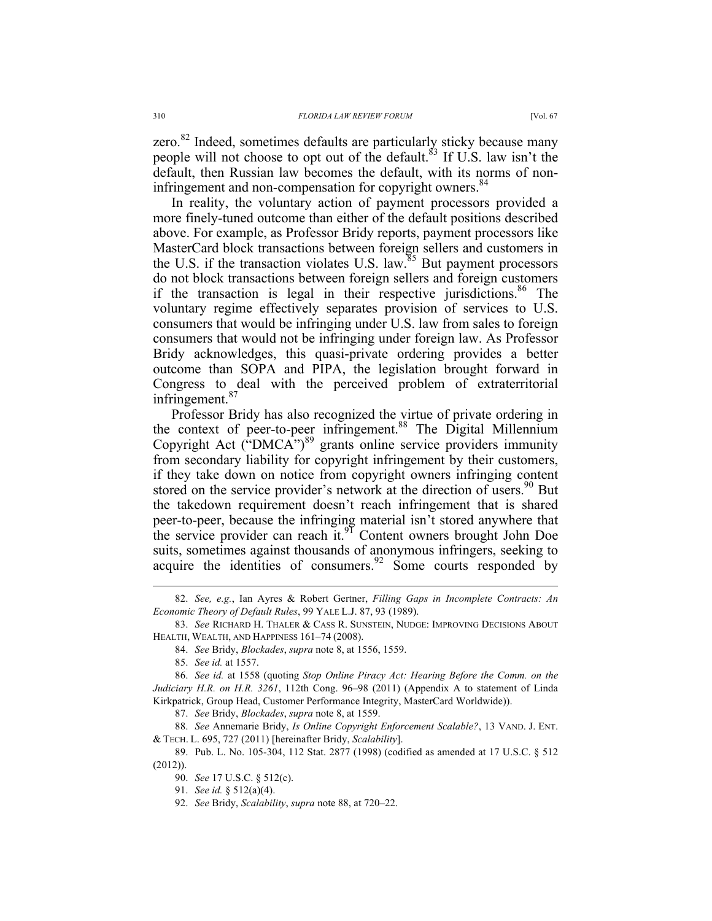zero.<sup>82</sup> Indeed, sometimes defaults are particularly sticky because many people will not choose to opt out of the default.<sup>83</sup> If U.S. law isn't the default, then Russian law becomes the default, with its norms of noninfringement and non-compensation for copyright owners.<sup>84</sup>

In reality, the voluntary action of payment processors provided a more finely-tuned outcome than either of the default positions described above. For example, as Professor Bridy reports, payment processors like MasterCard block transactions between foreign sellers and customers in the U.S. if the transaction violates U.S. law. $85$  But payment processors do not block transactions between foreign sellers and foreign customers if the transaction is legal in their respective jurisdictions.<sup>86</sup> The voluntary regime effectively separates provision of services to U.S. consumers that would be infringing under U.S. law from sales to foreign consumers that would not be infringing under foreign law. As Professor Bridy acknowledges, this quasi-private ordering provides a better outcome than SOPA and PIPA, the legislation brought forward in Congress to deal with the perceived problem of extraterritorial infringement.<sup>87</sup>

Professor Bridy has also recognized the virtue of private ordering in the context of peer-to-peer infringement.<sup>88</sup> The Digital Millennium Copyright Act ("DMCA")<sup>89</sup> grants online service providers immunity from secondary liability for copyright infringement by their customers, if they take down on notice from copyright owners infringing content stored on the service provider's network at the direction of users.<sup>90</sup> But the takedown requirement doesn't reach infringement that is shared peer-to-peer, because the infringing material isn't stored anywhere that the service provider can reach it.<sup>91</sup> Content owners brought John Doe suits, sometimes against thousands of anonymous infringers, seeking to acquire the identities of consumers.<sup>92</sup> Some courts responded by

 <sup>82.</sup> *See, e.g.*, Ian Ayres & Robert Gertner, *Filling Gaps in Incomplete Contracts: An Economic Theory of Default Rules*, 99 YALE L.J. 87, 93 (1989).

<sup>83.</sup> *See* RICHARD H. THALER & CASS R. SUNSTEIN, NUDGE: IMPROVING DECISIONS ABOUT HEALTH, WEALTH, AND HAPPINESS 161–74 (2008).

<sup>84.</sup> *See* Bridy, *Blockades*, *supra* note 8, at 1556, 1559.

<sup>85.</sup> *See id.* at 1557.

<sup>86.</sup> *See id.* at 1558 (quoting *Stop Online Piracy Act: Hearing Before the Comm. on the Judiciary H.R. on H.R. 3261*, 112th Cong. 96–98 (2011) (Appendix A to statement of Linda Kirkpatrick, Group Head, Customer Performance Integrity, MasterCard Worldwide)).

<sup>87.</sup> *See* Bridy, *Blockades*, *supra* note 8, at 1559.

<sup>88.</sup> *See* Annemarie Bridy, *Is Online Copyright Enforcement Scalable?*, 13 VAND. J. ENT. & TECH. L. 695, 727 (2011) [hereinafter Bridy, *Scalability*].

<sup>89.</sup> Pub. L. No. 105-304, 112 Stat. 2877 (1998) (codified as amended at 17 U.S.C. § 512 (2012)).

<sup>90.</sup> *See* 17 U.S.C. § 512(c).

<sup>91.</sup> *See id.* § 512(a)(4).

<sup>92.</sup> *See* Bridy, *Scalability*, *supra* note 88, at 720–22.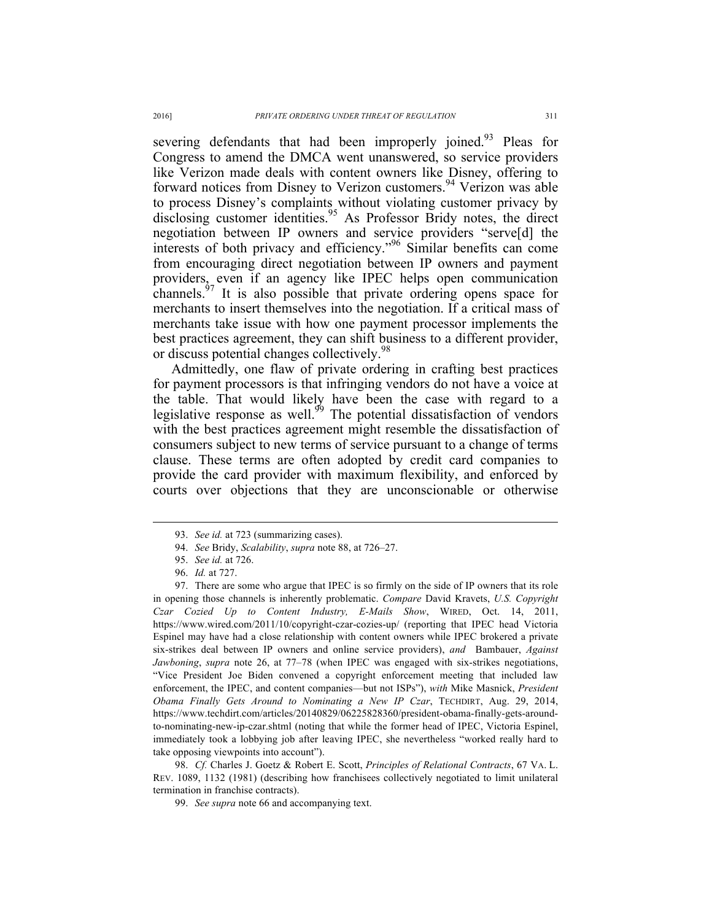severing defendants that had been improperly joined.<sup>93</sup> Pleas for Congress to amend the DMCA went unanswered, so service providers like Verizon made deals with content owners like Disney, offering to forward notices from Disney to Verizon customers.<sup>94</sup> Verizon was able to process Disney's complaints without violating customer privacy by disclosing customer identities.<sup>95</sup> As Professor Bridy notes, the direct negotiation between IP owners and service providers "serve[d] the interests of both privacy and efficiency." <sup>96</sup> Similar benefits can come from encouraging direct negotiation between IP owners and payment providers, even if an agency like IPEC helps open communication channels.<sup> $97$ </sup> It is also possible that private ordering opens space for It is also possible that private ordering opens space for merchants to insert themselves into the negotiation. If a critical mass of merchants take issue with how one payment processor implements the best practices agreement, they can shift business to a different provider, or discuss potential changes collectively.<sup>98</sup>

Admittedly, one flaw of private ordering in crafting best practices for payment processors is that infringing vendors do not have a voice at the table. That would likely have been the case with regard to a legislative response as well. $^{99}$  The potential dissatisfaction of vendors with the best practices agreement might resemble the dissatisfaction of consumers subject to new terms of service pursuant to a change of terms clause. These terms are often adopted by credit card companies to provide the card provider with maximum flexibility, and enforced by courts over objections that they are unconscionable or otherwise

98. *Cf.* Charles J. Goetz & Robert E. Scott, *Principles of Relational Contracts*, 67 VA. L. REV. 1089, 1132 (1981) (describing how franchisees collectively negotiated to limit unilateral termination in franchise contracts).

99. *See supra* note 66 and accompanying text.

 <sup>93.</sup> *See id.* at 723 (summarizing cases).

<sup>94.</sup> *See* Bridy, *Scalability*, *supra* note 88, at 726–27.

<sup>95.</sup> *See id.* at 726.

<sup>96.</sup> *Id.* at 727.

<sup>97.</sup> There are some who argue that IPEC is so firmly on the side of IP owners that its role in opening those channels is inherently problematic. *Compare* David Kravets, *U.S. Copyright Czar Cozied Up to Content Industry, E-Mails Show*, WIRED, Oct. 14, 2011, https://www.wired.com/2011/10/copyright-czar-cozies-up/ (reporting that IPEC head Victoria Espinel may have had a close relationship with content owners while IPEC brokered a private six-strikes deal between IP owners and online service providers), *and* Bambauer, *Against Jawboning*, *supra* note 26, at 77–78 (when IPEC was engaged with six-strikes negotiations, "Vice President Joe Biden convened a copyright enforcement meeting that included law enforcement, the IPEC, and content companies—but not ISPs"), *with* Mike Masnick, *President Obama Finally Gets Around to Nominating a New IP Czar*, TECHDIRT, Aug. 29, 2014, https://www.techdirt.com/articles/20140829/06225828360/president-obama-finally-gets-aroundto-nominating-new-ip-czar.shtml (noting that while the former head of IPEC, Victoria Espinel, immediately took a lobbying job after leaving IPEC, she nevertheless "worked really hard to take opposing viewpoints into account").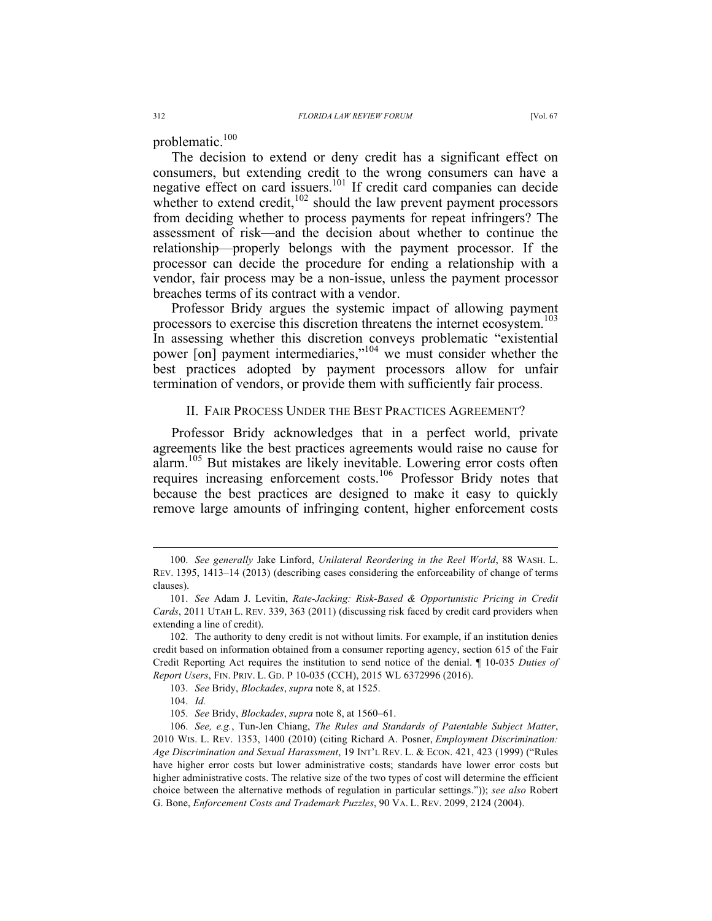problematic.<sup>100</sup>

The decision to extend or deny credit has a significant effect on consumers, but extending credit to the wrong consumers can have a negative effect on card issuers.<sup>101</sup> If credit card companies can decide whether to extend credit, $102$  should the law prevent payment processors from deciding whether to process payments for repeat infringers? The assessment of risk—and the decision about whether to continue the relationship—properly belongs with the payment processor. If the processor can decide the procedure for ending a relationship with a vendor, fair process may be a non-issue, unless the payment processor breaches terms of its contract with a vendor.

Professor Bridy argues the systemic impact of allowing payment processors to exercise this discretion threatens the internet ecosystem.<sup>103</sup> In assessing whether this discretion conveys problematic "existential power [on] payment intermediaries,"<sup>104</sup> we must consider whether the best practices adopted by payment processors allow for unfair termination of vendors, or provide them with sufficiently fair process.

### II. FAIR PROCESS UNDER THE BEST PRACTICES AGREEMENT?

Professor Bridy acknowledges that in a perfect world, private agreements like the best practices agreements would raise no cause for alarm.<sup>105</sup> But mistakes are likely inevitable. Lowering error costs often requires increasing enforcement costs.<sup>106</sup> Professor Bridy notes that because the best practices are designed to make it easy to quickly remove large amounts of infringing content, higher enforcement costs

 <sup>100.</sup> *See generally* Jake Linford, *Unilateral Reordering in the Reel World*, 88 WASH. L. REV. 1395, 1413–14 (2013) (describing cases considering the enforceability of change of terms clauses).

<sup>101.</sup> *See* Adam J. Levitin, *Rate-Jacking: Risk-Based & Opportunistic Pricing in Credit Cards*, 2011 UTAH L. REV. 339, 363 (2011) (discussing risk faced by credit card providers when extending a line of credit).

<sup>102.</sup> The authority to deny credit is not without limits. For example, if an institution denies credit based on information obtained from a consumer reporting agency, section 615 of the Fair Credit Reporting Act requires the institution to send notice of the denial. ¶ 10-035 *Duties of Report Users*, FIN. PRIV. L. GD. P 10-035 (CCH), 2015 WL 6372996 (2016).

<sup>103.</sup> *See* Bridy, *Blockades*, *supra* note 8, at 1525.

<sup>104.</sup> *Id.*

<sup>105.</sup> *See* Bridy, *Blockades*, *supra* note 8, at 1560–61.

<sup>106.</sup> *See, e.g.*, Tun-Jen Chiang, *The Rules and Standards of Patentable Subject Matter*, 2010 WIS. L. REV. 1353, 1400 (2010) (citing Richard A. Posner, *Employment Discrimination: Age Discrimination and Sexual Harassment*, 19 INT'L REV. L. & ECON. 421, 423 (1999) ("Rules have higher error costs but lower administrative costs; standards have lower error costs but higher administrative costs. The relative size of the two types of cost will determine the efficient choice between the alternative methods of regulation in particular settings.")); *see also* Robert G. Bone, *Enforcement Costs and Trademark Puzzles*, 90 VA. L. REV. 2099, 2124 (2004).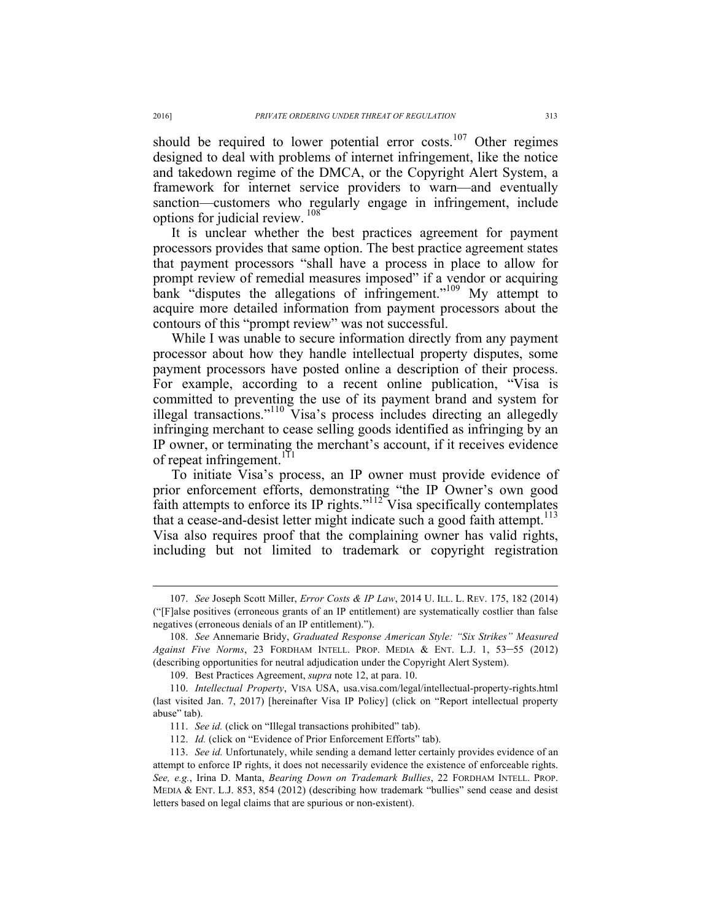should be required to lower potential error costs.<sup>107</sup> Other regimes designed to deal with problems of internet infringement, like the notice and takedown regime of the DMCA, or the Copyright Alert System, a framework for internet service providers to warn—and eventually sanction—customers who regularly engage in infringement, include options for judicial review. 108

It is unclear whether the best practices agreement for payment processors provides that same option. The best practice agreement states that payment processors "shall have a process in place to allow for prompt review of remedial measures imposed" if a vendor or acquiring bank "disputes the allegations of infringement."<sup>109</sup> My attempt to acquire more detailed information from payment processors about the contours of this "prompt review" was not successful.

While I was unable to secure information directly from any payment processor about how they handle intellectual property disputes, some payment processors have posted online a description of their process. For example, according to a recent online publication, "Visa is committed to preventing the use of its payment brand and system for illegal transactions."<sup>110</sup> Visa's process includes directing an allegedly infringing merchant to cease selling goods identified as infringing by an IP owner, or terminating the merchant's account, if it receives evidence of repeat infringement.<sup>111</sup>

To initiate Visa's process, an IP owner must provide evidence of prior enforcement efforts, demonstrating "the IP Owner's own good faith attempts to enforce its IP rights."<sup>112</sup> Visa specifically contemplates that a cease-and-desist letter might indicate such a good faith attempt. $113$ Visa also requires proof that the complaining owner has valid rights, including but not limited to trademark or copyright registration

 <sup>107.</sup> *See* Joseph Scott Miller, *Error Costs & IP Law*, 2014 U. ILL. L. REV. 175, 182 (2014) ("[F]alse positives (erroneous grants of an IP entitlement) are systematically costlier than false negatives (erroneous denials of an IP entitlement).").

<sup>108.</sup> *See* Annemarie Bridy, *Graduated Response American Style: "Six Strikes" Measured Against Five Norms*, 23 FORDHAM INTELL. PROP. MEDIA & ENT. L.J. 1, 53–55 (2012) (describing opportunities for neutral adjudication under the Copyright Alert System).

<sup>109.</sup> Best Practices Agreement, *supra* note 12, at para. 10.

<sup>110.</sup> *Intellectual Property*, VISA USA, usa.visa.com/legal/intellectual-property-rights.html (last visited Jan. 7, 2017) [hereinafter Visa IP Policy] (click on "Report intellectual property abuse" tab).

<sup>111.</sup> *See id.* (click on "Illegal transactions prohibited" tab).

<sup>112.</sup> *Id.* (click on "Evidence of Prior Enforcement Efforts" tab).

<sup>113.</sup> *See id.* Unfortunately, while sending a demand letter certainly provides evidence of an attempt to enforce IP rights, it does not necessarily evidence the existence of enforceable rights. *See, e.g.*, Irina D. Manta, *Bearing Down on Trademark Bullies*, 22 FORDHAM INTELL. PROP. MEDIA & ENT. L.J. 853, 854 (2012) (describing how trademark "bullies" send cease and desist letters based on legal claims that are spurious or non-existent).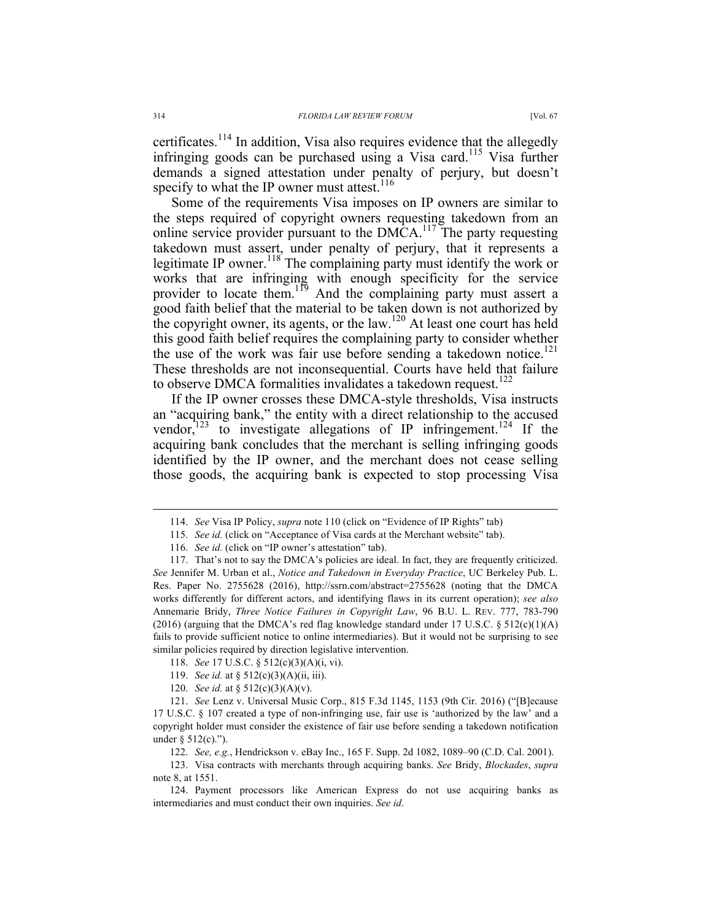certificates.<sup>114</sup> In addition, Visa also requires evidence that the allegedly infringing goods can be purchased using a Visa card.<sup>115</sup> Visa further demands a signed attestation under penalty of perjury, but doesn't specify to what the IP owner must attest.<sup>116</sup>

Some of the requirements Visa imposes on IP owners are similar to the steps required of copyright owners requesting takedown from an online service provider pursuant to the  $DMCA$ <sup>117</sup>. The party requesting takedown must assert, under penalty of perjury, that it represents a legitimate IP owner.<sup>118</sup> The complaining party must identify the work or works that are infringing with enough specificity for the service provider to locate them.<sup>119</sup> And the complaining party must assert a good faith belief that the material to be taken down is not authorized by the copyright owner, its agents, or the law.<sup>120</sup> At least one court has held this good faith belief requires the complaining party to consider whether the use of the work was fair use before sending a takedown notice.<sup>121</sup> These thresholds are not inconsequential. Courts have held that failure to observe DMCA formalities invalidates a takedown request.<sup>122</sup>

If the IP owner crosses these DMCA-style thresholds, Visa instructs an "acquiring bank," the entity with a direct relationship to the accused vendor,<sup> $123$ </sup> to investigate allegations of IP infringement.<sup>124</sup> If the acquiring bank concludes that the merchant is selling infringing goods identified by the IP owner, and the merchant does not cease selling those goods, the acquiring bank is expected to stop processing Visa

120. *See id.* at § 512(c)(3)(A)(v).

 <sup>114.</sup> *See* Visa IP Policy, *supra* note 110 (click on "Evidence of IP Rights" tab)

<sup>115.</sup> *See id.* (click on "Acceptance of Visa cards at the Merchant website" tab).

<sup>116.</sup> *See id.* (click on "IP owner's attestation" tab).

<sup>117.</sup> That's not to say the DMCA's policies are ideal. In fact, they are frequently criticized. *See* Jennifer M. Urban et al., *Notice and Takedown in Everyday Practice*, UC Berkeley Pub. L. Res. Paper No. 2755628 (2016), http://ssrn.com/abstract=2755628 (noting that the DMCA works differently for different actors, and identifying flaws in its current operation); *see also*  Annemarie Bridy, *Three Notice Failures in Copyright Law*, 96 B.U. L. REV. 777, 783-790 (2016) (arguing that the DMCA's red flag knowledge standard under 17 U.S.C. § 512(c)(1)(A) fails to provide sufficient notice to online intermediaries). But it would not be surprising to see similar policies required by direction legislative intervention.

<sup>118.</sup> *See* 17 U.S.C. § 512(c)(3)(A)(i, vi).

<sup>119.</sup> *See id.* at § 512(c)(3)(A)(ii, iii).

<sup>121.</sup> *See* Lenz v. Universal Music Corp., 815 F.3d 1145, 1153 (9th Cir. 2016) ("[B]ecause 17 U.S.C. § 107 created a type of non-infringing use, fair use is 'authorized by the law' and a copyright holder must consider the existence of fair use before sending a takedown notification under  $\S$  512(c).").

<sup>122.</sup> *See, e.g.*, Hendrickson v. eBay Inc., 165 F. Supp. 2d 1082, 1089–90 (C.D. Cal. 2001).

<sup>123.</sup> Visa contracts with merchants through acquiring banks. *See* Bridy, *Blockades*, *supra* note 8, at 1551.

<sup>124.</sup> Payment processors like American Express do not use acquiring banks as intermediaries and must conduct their own inquiries. *See id*.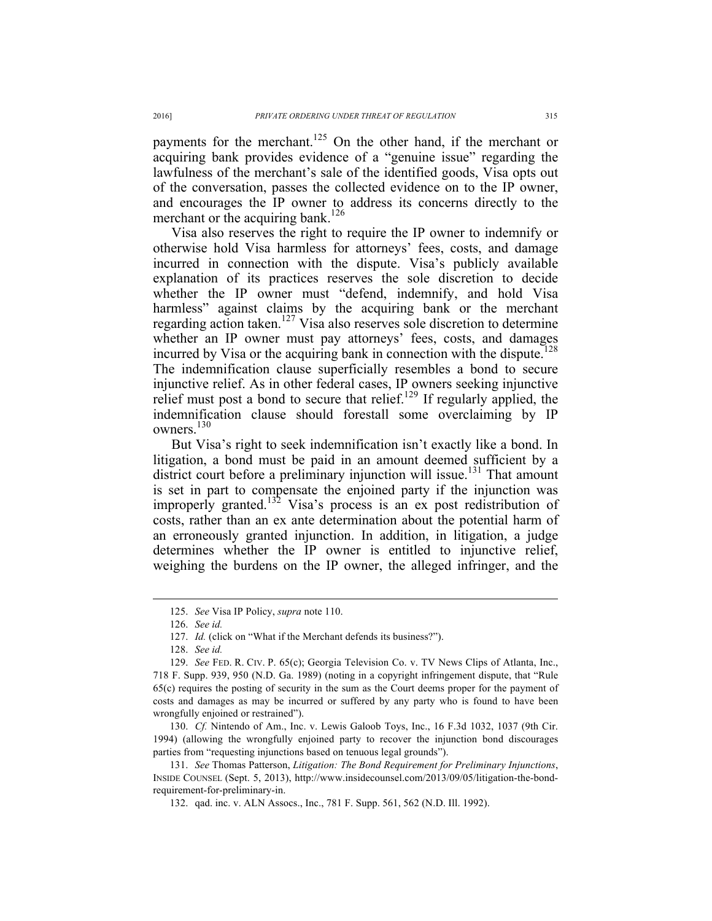payments for the merchant.<sup>125</sup> On the other hand, if the merchant or acquiring bank provides evidence of a "genuine issue" regarding the lawfulness of the merchant's sale of the identified goods, Visa opts out of the conversation, passes the collected evidence on to the IP owner, and encourages the IP owner to address its concerns directly to the merchant or the acquiring bank.<sup>126</sup>

Visa also reserves the right to require the IP owner to indemnify or otherwise hold Visa harmless for attorneys' fees, costs, and damage incurred in connection with the dispute. Visa's publicly available explanation of its practices reserves the sole discretion to decide whether the IP owner must "defend, indemnify, and hold Visa harmless" against claims by the acquiring bank or the merchant regarding action taken.<sup>127</sup> Visa also reserves sole discretion to determine whether an IP owner must pay attorneys' fees, costs, and damages incurred by Visa or the acquiring bank in connection with the dispute.<sup>128</sup> The indemnification clause superficially resembles a bond to secure injunctive relief. As in other federal cases, IP owners seeking injunctive relief must post a bond to secure that relief.<sup>129</sup> If regularly applied, the indemnification clause should forestall some overclaiming by IP owners.<sup>130</sup>

But Visa's right to seek indemnification isn't exactly like a bond. In litigation, a bond must be paid in an amount deemed sufficient by a district court before a preliminary injunction will issue.<sup>131</sup> That amount is set in part to compensate the enjoined party if the injunction was improperly granted.<sup>132</sup> Visa's process is an ex post redistribution of costs, rather than an ex ante determination about the potential harm of an erroneously granted injunction. In addition, in litigation, a judge determines whether the IP owner is entitled to injunctive relief, weighing the burdens on the IP owner, the alleged infringer, and the

 <sup>125.</sup> *See* Visa IP Policy, *supra* note 110.

<sup>126.</sup> *See id.*

<sup>127.</sup> *Id.* (click on "What if the Merchant defends its business?").

<sup>128.</sup> *See id.*

<sup>129.</sup> *See* FED. R. CIV. P. 65(c); Georgia Television Co. v. TV News Clips of Atlanta, Inc., 718 F. Supp. 939, 950 (N.D. Ga. 1989) (noting in a copyright infringement dispute, that "Rule 65(c) requires the posting of security in the sum as the Court deems proper for the payment of costs and damages as may be incurred or suffered by any party who is found to have been wrongfully enjoined or restrained").

<sup>130.</sup> *Cf.* Nintendo of Am., Inc. v. Lewis Galoob Toys, Inc., 16 F.3d 1032, 1037 (9th Cir. 1994) (allowing the wrongfully enjoined party to recover the injunction bond discourages parties from "requesting injunctions based on tenuous legal grounds").

<sup>131.</sup> *See* Thomas Patterson, *Litigation: The Bond Requirement for Preliminary Injunctions*, INSIDE COUNSEL (Sept. 5, 2013), http://www.insidecounsel.com/2013/09/05/litigation-the-bondrequirement-for-preliminary-in.

<sup>132.</sup> qad. inc. v. ALN Assocs., Inc., 781 F. Supp. 561, 562 (N.D. Ill. 1992).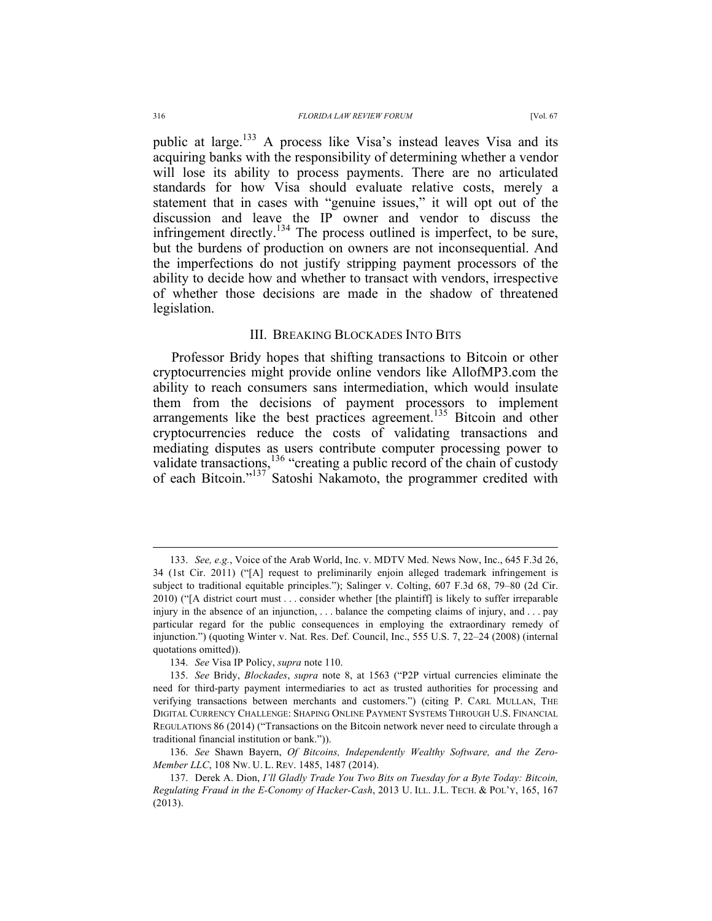public at large.<sup>133</sup> A process like Visa's instead leaves Visa and its acquiring banks with the responsibility of determining whether a vendor will lose its ability to process payments. There are no articulated standards for how Visa should evaluate relative costs, merely a statement that in cases with "genuine issues," it will opt out of the discussion and leave the IP owner and vendor to discuss the infringement directly.<sup>134</sup> The process outlined is imperfect, to be sure, but the burdens of production on owners are not inconsequential. And the imperfections do not justify stripping payment processors of the ability to decide how and whether to transact with vendors, irrespective of whether those decisions are made in the shadow of threatened

#### III. BREAKING BLOCKADES INTO BITS

Professor Bridy hopes that shifting transactions to Bitcoin or other cryptocurrencies might provide online vendors like AllofMP3.com the ability to reach consumers sans intermediation, which would insulate them from the decisions of payment processors to implement arrangements like the best practices agreement.<sup>135</sup> Bitcoin and other cryptocurrencies reduce the costs of validating transactions and mediating disputes as users contribute computer processing power to validate transactions,  $^{136}$  "creating a public record of the chain of custody of each Bitcoin."<sup>137</sup> Satoshi Nakamoto, the programmer credited with

legislation.

 <sup>133.</sup> *See, e.g.*, Voice of the Arab World, Inc. v. MDTV Med. News Now, Inc., 645 F.3d 26, 34 (1st Cir. 2011) ("[A] request to preliminarily enjoin alleged trademark infringement is subject to traditional equitable principles."); Salinger v. Colting, 607 F.3d 68, 79–80 (2d Cir. 2010) ("[A district court must . . . consider whether [the plaintiff] is likely to suffer irreparable injury in the absence of an injunction, . . . balance the competing claims of injury, and . . . pay particular regard for the public consequences in employing the extraordinary remedy of injunction.") (quoting Winter v. Nat. Res. Def. Council, Inc., 555 U.S. 7, 22–24 (2008) (internal quotations omitted)).

<sup>134.</sup> *See* Visa IP Policy, *supra* note 110.

<sup>135.</sup> *See* Bridy, *Blockades*, *supra* note 8, at 1563 ("P2P virtual currencies eliminate the need for third-party payment intermediaries to act as trusted authorities for processing and verifying transactions between merchants and customers.") (citing P. CARL MULLAN, THE DIGITAL CURRENCY CHALLENGE: SHAPING ONLINE PAYMENT SYSTEMS THROUGH U.S. FINANCIAL REGULATIONS 86 (2014) ("Transactions on the Bitcoin network never need to circulate through a traditional financial institution or bank.")).

<sup>136.</sup> *See* Shawn Bayern, *Of Bitcoins, Independently Wealthy Software, and the Zero-Member LLC*, 108 NW. U. L. REV. 1485, 1487 (2014).

<sup>137.</sup> Derek A. Dion, *I'll Gladly Trade You Two Bits on Tuesday for a Byte Today: Bitcoin, Regulating Fraud in the E-Conomy of Hacker-Cash*, 2013 U. ILL. J.L. TECH. & POL'Y, 165, 167 (2013).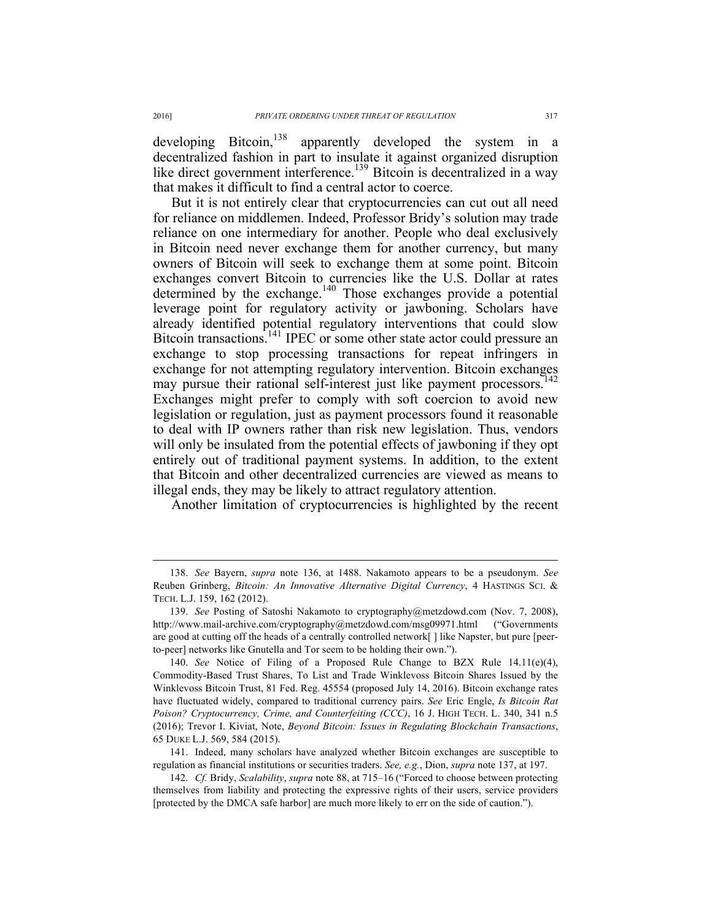developing Bitcoin,<sup>138</sup> apparently developed the system in a decentralized fashion in part to insulate it against organized disruption like direct government interference.<sup>139</sup> Bitcoin is decentralized in a way that makes it difficult to find a central actor to coerce.

But it is not entirely clear that cryptocurrencies can cut out all need for reliance on middlemen. Indeed, Professor Bridy's solution may trade reliance on one intermediary for another. People who deal exclusively in Bitcoin need never exchange them for another currency, but many owners of Bitcoin will seek to exchange them at some point. Bitcoin exchanges convert Bitcoin to currencies like the U.S. Dollar at rates determined by the exchange.<sup>140</sup> Those exchanges provide a potential leverage point for regulatory activity or jawboning. Scholars have already identified potential regulatory interventions that could slow Bitcoin transactions.<sup>141</sup> IPEC or some other state actor could pressure an exchange to stop processing transactions for repeat infringers in exchange for not attempting regulatory intervention. Bitcoin exchanges may pursue their rational self-interest just like payment processors.<sup>1</sup> Exchanges might prefer to comply with soft coercion to avoid new legislation or regulation, just as payment processors found it reasonable to deal with IP owners rather than risk new legislation. Thus, vendors will only be insulated from the potential effects of jawboning if they opt entirely out of traditional payment systems. In addition, to the extent that Bitcoin and other decentralized currencies are viewed as means to illegal ends, they may be likely to attract regulatory attention.

Another limitation of cryptocurrencies is highlighted by the recent

141. Indeed, many scholars have analyzed whether Bitcoin exchanges are susceptible to regulation as financial institutions or securities traders. *See, e.g.*, Dion, *supra* note 137, at 197.

 <sup>138.</sup> *See* Bayern, *supra* note 136, at 1488. Nakamoto appears to be a pseudonym. *See*  Reuben Grinberg, *Bitcoin: An Innovative Alternative Digital Currency*, 4 HASTINGS SCI. & TECH. L.J. 159, 162 (2012).

<sup>139.</sup> *See* Posting of Satoshi Nakamoto to cryptography@metzdowd.com (Nov. 7, 2008), http://www.mail-archive.com/cryptography@metzdowd.com/msg09971.html ("Governments are good at cutting off the heads of a centrally controlled network[ ] like Napster, but pure [peerto-peer] networks like Gnutella and Tor seem to be holding their own.").

<sup>140.</sup> *See* Notice of Filing of a Proposed Rule Change to BZX Rule 14.11(e)(4), Commodity-Based Trust Shares, To List and Trade Winklevoss Bitcoin Shares Issued by the Winklevoss Bitcoin Trust, 81 Fed. Reg. 45554 (proposed July 14, 2016). Bitcoin exchange rates have fluctuated widely, compared to traditional currency pairs. *See* Eric Engle, *Is Bitcoin Rat Poison? Cryptocurrency, Crime, and Counterfeiting (CCC)*, 16 J. HIGH TECH. L. 340, 341 n.5 (2016); Trevor I. Kiviat, Note, *Beyond Bitcoin: Issues in Regulating Blockchain Transactions*, 65 DUKE L.J. 569, 584 (2015).

<sup>142.</sup> *Cf.* Bridy, *Scalability*, *supra* note 88, at 715–16 ("Forced to choose between protecting themselves from liability and protecting the expressive rights of their users, service providers [protected by the DMCA safe harbor] are much more likely to err on the side of caution.").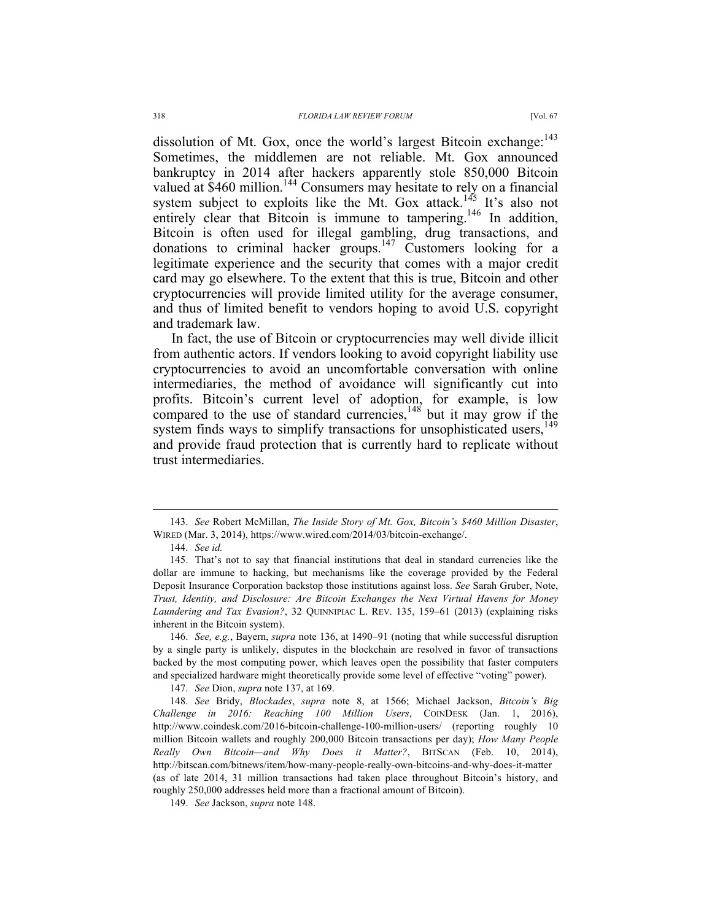dissolution of Mt. Gox, once the world's largest Bitcoin exchange:<sup>143</sup> Sometimes, the middlemen are not reliable. Mt. Gox announced bankruptcy in 2014 after hackers apparently stole 850,000 Bitcoin valued at \$460 million.<sup>144</sup> Consumers may hesitate to rely on a financial system subject to exploits like the Mt. Gox attack.<sup>145</sup> It's also not entirely clear that Bitcoin is immune to tampering.<sup>146</sup> In addition, Bitcoin is often used for illegal gambling, drug transactions, and donations to criminal hacker groups.<sup>147</sup> Customers looking for a legitimate experience and the security that comes with a major credit card may go elsewhere. To the extent that this is true, Bitcoin and other cryptocurrencies will provide limited utility for the average consumer, and thus of limited benefit to vendors hoping to avoid U.S. copyright

In fact, the use of Bitcoin or cryptocurrencies may well divide illicit from authentic actors. If vendors looking to avoid copyright liability use cryptocurrencies to avoid an uncomfortable conversation with online intermediaries, the method of avoidance will significantly cut into profits. Bitcoin's current level of adoption, for example, is low compared to the use of standard currencies,  $148$  but it may grow if the system finds ways to simplify transactions for unsophisticated users,<sup>149</sup> and provide fraud protection that is currently hard to replicate without trust intermediaries.

and trademark law.

 <sup>143.</sup> *See* Robert McMillan, *The Inside Story of Mt. Gox, Bitcoin's \$460 Million Disaster*, WIRED (Mar. 3, 2014), https://www.wired.com/2014/03/bitcoin-exchange/.

<sup>144.</sup> *See id.*

<sup>145.</sup> That's not to say that financial institutions that deal in standard currencies like the dollar are immune to hacking, but mechanisms like the coverage provided by the Federal Deposit Insurance Corporation backstop those institutions against loss. *See* Sarah Gruber, Note, *Trust, Identity, and Disclosure: Are Bitcoin Exchanges the Next Virtual Havens for Money Laundering and Tax Evasion?*, 32 QUINNIPIAC L. REV. 135, 159–61 (2013) (explaining risks inherent in the Bitcoin system).

<sup>146.</sup> *See, e.g.*, Bayern, *supra* note 136, at 1490–91 (noting that while successful disruption by a single party is unlikely, disputes in the blockchain are resolved in favor of transactions backed by the most computing power, which leaves open the possibility that faster computers and specialized hardware might theoretically provide some level of effective "voting" power).

<sup>147.</sup> *See* Dion, *supra* note 137, at 169.

<sup>148.</sup> *See* Bridy, *Blockades*, *supra* note 8, at 1566; Michael Jackson, *Bitcoin's Big Challenge in 2016: Reaching 100 Million Users*, COINDESK (Jan. 1, 2016), http://www.coindesk.com/2016-bitcoin-challenge-100-million-users/ (reporting roughly 10 million Bitcoin wallets and roughly 200,000 Bitcoin transactions per day); *How Many People Really Own Bitcoin—and Why Does it Matter?*, BITSCAN (Feb. 10, 2014), http://bitscan.com/bitnews/item/how-many-people-really-own-bitcoins-and-why-does-it-matter (as of late 2014, 31 million transactions had taken place throughout Bitcoin's history, and roughly 250,000 addresses held more than a fractional amount of Bitcoin).

<sup>149.</sup> *See* Jackson, *supra* note 148.